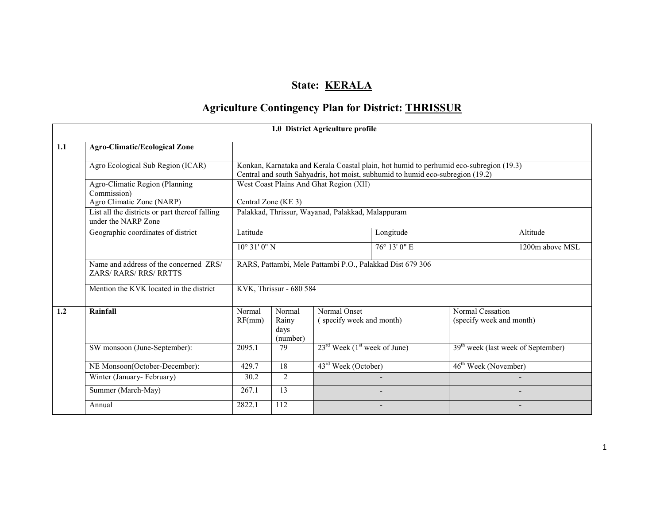# State: KERALA

# Agriculture Contingency Plan for District: THRISSUR

|     |                                                                       |                                                           |                                     | 1.0 District Agriculture profile                     |                                                                                                                                                                          |                                                |                 |
|-----|-----------------------------------------------------------------------|-----------------------------------------------------------|-------------------------------------|------------------------------------------------------|--------------------------------------------------------------------------------------------------------------------------------------------------------------------------|------------------------------------------------|-----------------|
| 1.1 | <b>Agro-Climatic/Ecological Zone</b>                                  |                                                           |                                     |                                                      |                                                                                                                                                                          |                                                |                 |
|     | Agro Ecological Sub Region (ICAR)                                     |                                                           |                                     |                                                      | Konkan, Karnataka and Kerala Coastal plain, hot humid to perhumid eco-subregion (19.3)<br>Central and south Sahyadris, hot moist, subhumid to humid eco-subregion (19.2) |                                                |                 |
|     | Agro-Climatic Region (Planning<br>Commission)                         | West Coast Plains And Ghat Region (XII)                   |                                     |                                                      |                                                                                                                                                                          |                                                |                 |
|     | Agro Climatic Zone (NARP)                                             | Central Zone (KE 3)                                       |                                     |                                                      |                                                                                                                                                                          |                                                |                 |
|     | List all the districts or part thereof falling<br>under the NARP Zone | Palakkad, Thrissur, Wayanad, Palakkad, Malappuram         |                                     |                                                      |                                                                                                                                                                          |                                                |                 |
|     | Geographic coordinates of district                                    | Latitude                                                  | Longitude                           |                                                      |                                                                                                                                                                          |                                                | Altitude        |
|     |                                                                       | 76° 13' 0" E<br>$10^{\circ}$ 31' 0" N                     |                                     |                                                      |                                                                                                                                                                          |                                                | 1200m above MSL |
|     | Name and address of the concerned ZRS/<br><b>ZARS/RARS/RRS/RRTTS</b>  | RARS, Pattambi, Mele Pattambi P.O., Palakkad Dist 679 306 |                                     |                                                      |                                                                                                                                                                          |                                                |                 |
|     | Mention the KVK located in the district                               |                                                           | KVK, Thrissur - 680 584             |                                                      |                                                                                                                                                                          |                                                |                 |
| 1.2 | Rainfall                                                              | Normal<br>RF(mm)                                          | Normal<br>Rainy<br>days<br>(number) | Normal Onset<br>(specify week and month)             |                                                                                                                                                                          | Normal Cessation<br>(specify week and month)   |                 |
|     | SW monsoon (June-September):                                          | 2095.1                                                    | 79                                  | $23^{\text{rd}}$ Week (1 <sup>st</sup> week of June) |                                                                                                                                                                          | 39 <sup>th</sup> week (last week of September) |                 |
|     | NE Monsoon(October-December):                                         | 429.7                                                     | 18                                  | 43 <sup>rd</sup> Week (October)                      |                                                                                                                                                                          | 46 <sup>th</sup> Week (November)               |                 |
|     | Winter (January-February)                                             | 30.2                                                      | 2                                   |                                                      |                                                                                                                                                                          |                                                |                 |
|     | Summer (March-May)                                                    | 267.1                                                     | 13                                  |                                                      |                                                                                                                                                                          |                                                |                 |
|     | Annual                                                                | 2822.1                                                    | 112                                 |                                                      |                                                                                                                                                                          |                                                |                 |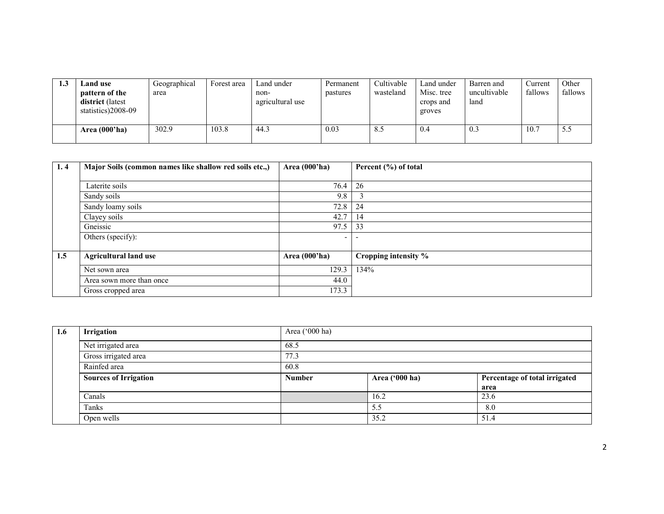| ن. 1 | Land use<br>pattern of the<br>district (latest<br>statistics)2008-09 | Geographical<br>area | Forest area | Land under<br>non-<br>agricultural use | Permanent<br>pastures | Cultivable<br>wasteland | Land under<br>Misc. tree<br>crops and<br>groves | Barren and<br>uncultivable<br>land | Current<br>fallows | Other<br>fallows |
|------|----------------------------------------------------------------------|----------------------|-------------|----------------------------------------|-----------------------|-------------------------|-------------------------------------------------|------------------------------------|--------------------|------------------|
|      | Area $(000'$ ha)                                                     | 302.9                | 103.8       | 44.3                                   | 0.03                  | 8.5                     | 0.4                                             | 0.3                                | 10.7               | 5.5              |

| 1, 4 | Major Soils (common names like shallow red soils etc.,) | Area $(000'$ ha) | Percent (%) of total |
|------|---------------------------------------------------------|------------------|----------------------|
|      |                                                         |                  |                      |
|      | Laterite soils                                          | 76.4             | 26                   |
|      | Sandy soils                                             | 9.8              |                      |
|      | Sandy loamy soils                                       | 72.8             | 24                   |
|      | Clayey soils                                            | 42.7             | 14                   |
|      | Gneissic                                                | 97.5             | 33                   |
|      | Others (specify):                                       | -                |                      |
|      |                                                         |                  |                      |
| 1.5  | <b>Agricultural land use</b>                            | Area $(000'$ ha) | Cropping intensity % |
|      | Net sown area                                           | 129.3            | 134%                 |
|      | Area sown more than once                                | 44.0             |                      |
|      | Gross cropped area                                      | 173.3            |                      |

| 1.6 | Irrigation                   | Area ('000 ha) |                |                               |  |  |  |  |
|-----|------------------------------|----------------|----------------|-------------------------------|--|--|--|--|
|     | Net irrigated area           | 68.5           |                |                               |  |  |  |  |
|     | Gross irrigated area         | 77.3           |                |                               |  |  |  |  |
|     | Rainfed area                 | 60.8           |                |                               |  |  |  |  |
|     | <b>Sources of Irrigation</b> | <b>Number</b>  | Area ('000 ha) | Percentage of total irrigated |  |  |  |  |
|     |                              |                |                | area                          |  |  |  |  |
|     | Canals                       |                | 16.2           | 23.6                          |  |  |  |  |
|     | Tanks                        |                | 5.5            | 8.0                           |  |  |  |  |
|     | Open wells                   |                | 35.2           | 51.4                          |  |  |  |  |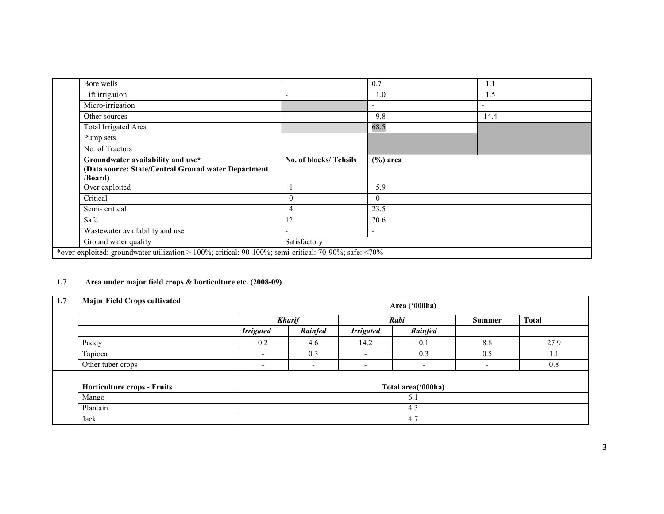| Bore wells                                                                                            |                          | 0.7                      | 1.1  |
|-------------------------------------------------------------------------------------------------------|--------------------------|--------------------------|------|
| Lift irrigation                                                                                       | $\overline{\phantom{0}}$ | 1.0                      | 1.5  |
| Micro-irrigation                                                                                      |                          | $\overline{\phantom{a}}$ |      |
| Other sources                                                                                         | $\overline{\phantom{a}}$ | 9.8                      | 14.4 |
| Total Irrigated Area                                                                                  |                          | 68.5                     |      |
| Pump sets                                                                                             |                          |                          |      |
| No. of Tractors                                                                                       |                          |                          |      |
| Groundwater availability and use*<br>(Data source: State/Central Ground water Department<br>/Board)   | No. of blocks/Tehsils    | $(\% )$ area             |      |
| Over exploited                                                                                        |                          | 5.9                      |      |
| Critical                                                                                              | $\overline{0}$           | $\theta$                 |      |
| Semi-critical                                                                                         | 4                        | 23.5                     |      |
| Safe                                                                                                  | 12                       | 70.6                     |      |
| Wastewater availability and use                                                                       |                          | $\overline{\phantom{a}}$ |      |
| Ground water quality                                                                                  | Satisfactory             |                          |      |
| *over-exploited: groundwater utilization > 100%; critical: 90-100%; semi-critical: 70-90%; safe: <70% |                          |                          |      |

# 1.7 Area under major field crops & horticulture etc. (2008-09)

| 1.7 | <b>Major Field Crops cultivated</b> |                          | Area ('000ha)            |                          |                    |                          |              |  |  |
|-----|-------------------------------------|--------------------------|--------------------------|--------------------------|--------------------|--------------------------|--------------|--|--|
|     |                                     |                          | <b>Kharif</b>            |                          | Rabi               | <b>Summer</b>            | <b>Total</b> |  |  |
|     |                                     | <b>Irrigated</b>         | Rainfed                  | <b>Irrigated</b>         | Rainfed            |                          |              |  |  |
|     | Paddy                               | 0.2                      | 4.6                      | 14.2                     | 0.1                | 8.8                      | 27.9         |  |  |
|     | Tapioca                             | $\overline{\phantom{0}}$ | 0.3                      | $\overline{\phantom{0}}$ | 0.3                | 0.5                      | 1.1          |  |  |
|     | Other tuber crops                   | $\overline{\phantom{0}}$ | $\overline{\phantom{0}}$ | $\overline{\phantom{a}}$ | $\blacksquare$     | $\overline{\phantom{0}}$ | 0.8          |  |  |
|     |                                     |                          |                          |                          |                    |                          |              |  |  |
|     | Horticulture crops - Fruits         |                          |                          |                          | Total area('000ha) |                          |              |  |  |
|     | Mango<br>6.1                        |                          |                          |                          |                    |                          |              |  |  |
|     | Plantain                            | 4.3                      |                          |                          |                    |                          |              |  |  |
|     | Jack                                |                          |                          |                          | 4.7                |                          |              |  |  |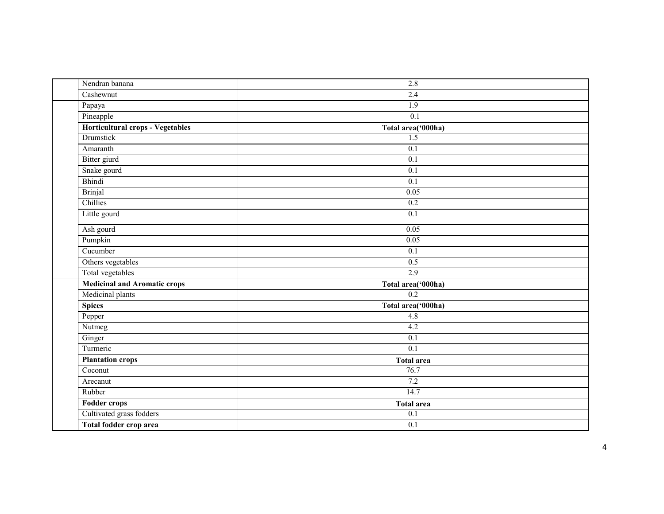| Nendran banana                      | 2.8                |
|-------------------------------------|--------------------|
| Cashewnut                           | 2.4                |
| Papaya                              | $\overline{1.9}$   |
| Pineapple                           | 0.1                |
| Horticultural crops - Vegetables    | Total area('000ha) |
| Drumstick                           | 1.5                |
| Amaranth                            | $\overline{0.1}$   |
| Bitter giurd                        | $\overline{0.1}$   |
| Snake gourd                         | $\overline{0.1}$   |
| Bhindi                              | $\overline{0.1}$   |
| <b>Brinjal</b>                      | 0.05               |
| Chillies                            | 0.2                |
| Little gourd                        | 0.1                |
| Ash gourd                           | 0.05               |
| Pumpkin                             | 0.05               |
| Cucumber                            | $\overline{0.1}$   |
| Others vegetables                   | 0.5                |
| Total vegetables                    | 2.9                |
| <b>Medicinal and Aromatic crops</b> | Total area('000ha) |
| Medicinal plants                    | 0.2                |
| <b>Spices</b>                       | Total area('000ha) |
| Pepper                              | 4.8                |
| Nutmeg                              | 4.2                |
| Ginger                              | $\overline{0.1}$   |
| Turmeric                            | 0.1                |
| <b>Plantation crops</b>             | <b>Total area</b>  |
| Coconut                             | 76.7               |
| Arecanut                            | 7.2                |
| Rubber                              | 14.7               |
| <b>Fodder crops</b>                 | <b>Total area</b>  |
| Cultivated grass fodders            | $\overline{0.1}$   |
| Total fodder crop area              | 0.1                |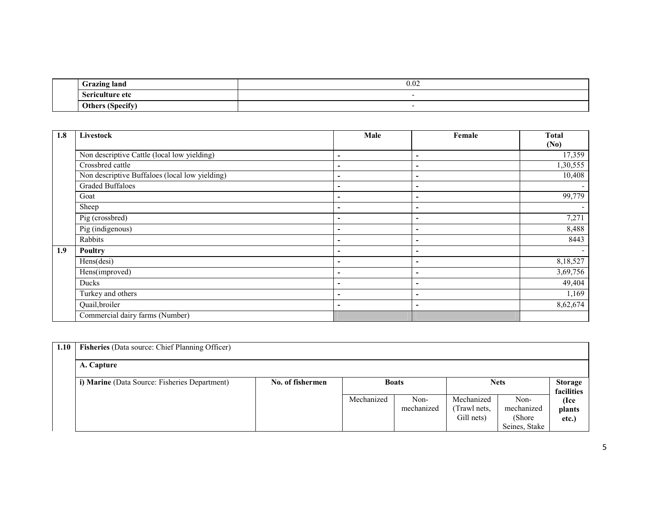| $\sim$<br><b>Grazing land</b> | 0.02 |
|-------------------------------|------|
| Sericulture<br>лŧ,<br>UU      |      |
| ∩+<br>⊃ther∪<br>$I$ handle    |      |

| 1.8 | Livestock                                      | Male                     | Female                   | <b>Total</b> |
|-----|------------------------------------------------|--------------------------|--------------------------|--------------|
|     |                                                |                          |                          | (No)         |
|     | Non descriptive Cattle (local low yielding)    | ۰                        | $\overline{\phantom{a}}$ | 17,359       |
|     | Crossbred cattle                               | ۰                        | $\overline{\phantom{a}}$ | 1,30,555     |
|     | Non descriptive Buffaloes (local low yielding) | ۰                        | $\overline{\phantom{a}}$ | 10,408       |
|     | <b>Graded Buffaloes</b>                        | ۰                        | ٠                        |              |
|     | Goat                                           | ۰                        | $\overline{\phantom{a}}$ | 99,779       |
|     | Sheep                                          | $\overline{\phantom{0}}$ | $\overline{\phantom{a}}$ |              |
|     | Pig (crossbred)                                | ۰                        | $\overline{\phantom{a}}$ | 7,271        |
|     | Pig (indigenous)                               | -                        | $\overline{\phantom{a}}$ | 8,488        |
|     | Rabbits                                        |                          | -                        | 8443         |
| 1.9 | Poultry                                        |                          | -                        |              |
|     | Hens(desi)                                     |                          | $\overline{\phantom{a}}$ | 8,18,527     |
|     | Hens(improved)                                 |                          | $\overline{a}$           | 3,69,756     |
|     | Ducks                                          | -                        | ٠                        | 49,404       |
|     | Turkey and others                              | ۰                        | $\overline{\phantom{a}}$ | 1,169        |
|     | Quail, broiler                                 | $\overline{\phantom{0}}$ | $\blacksquare$           | 8,62,674     |
|     | Commercial dairy farms (Number)                |                          |                          |              |

| 1.10 | <b>Fisheries</b> (Data source: Chief Planning Officer) |                  |            |              |              |               |                |
|------|--------------------------------------------------------|------------------|------------|--------------|--------------|---------------|----------------|
|      | A. Capture                                             |                  |            |              |              |               |                |
|      | i) Marine (Data Source: Fisheries Department)          | No. of fishermen |            | <b>Boats</b> |              | <b>Nets</b>   | <b>Storage</b> |
|      |                                                        |                  |            |              |              |               | facilities     |
|      |                                                        |                  | Mechanized | Non-         | Mechanized   | Non-          | (Ice           |
|      |                                                        |                  |            | mechanized   | (Trawl nets, | mechanized    | plants         |
|      |                                                        |                  |            |              | Gill nets)   | (Shore)       | etc.)          |
|      |                                                        |                  |            |              |              | Seines, Stake |                |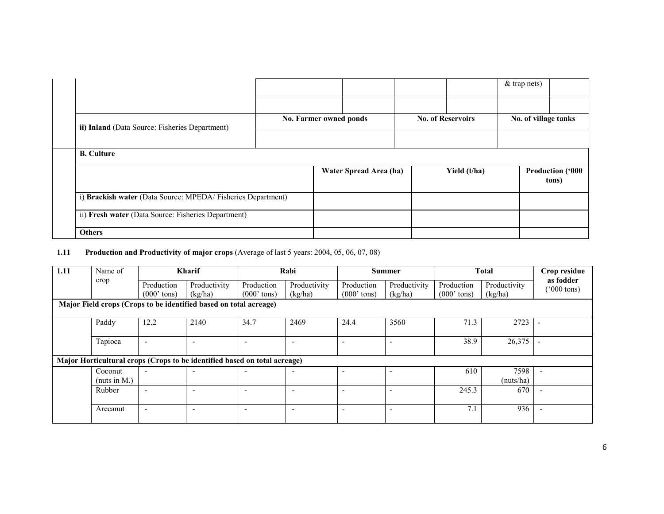|                                                             |                        |                        |                          |              | & trap nets)         |                           |
|-------------------------------------------------------------|------------------------|------------------------|--------------------------|--------------|----------------------|---------------------------|
|                                                             |                        |                        |                          |              |                      |                           |
| ii) Inland (Data Source: Fisheries Department)              | No. Farmer owned ponds |                        | <b>No. of Reservoirs</b> |              | No. of village tanks |                           |
|                                                             |                        |                        |                          |              |                      |                           |
| <b>B.</b> Culture                                           |                        |                        |                          |              |                      |                           |
|                                                             |                        | Water Spread Area (ha) |                          | Yield (t/ha) |                      | Production ('000<br>tons) |
| i) Brackish water (Data Source: MPEDA/Fisheries Department) |                        |                        |                          |              |                      |                           |
| ii) Fresh water (Data Source: Fisheries Department)         |                        |                        |                          |              |                      |                           |
| <b>Others</b>                                               |                        |                        |                          |              |                      |                           |

### 1.11 Production and Productivity of major crops (Average of last 5 years: 2004, 05, 06, 07, 08)

| 1.11 | Name of         |                          | <b>Kharif</b>                                                             |                          | Rabi                     |                          | <b>Summer</b> |               | <b>Total</b> | Crop residue                      |
|------|-----------------|--------------------------|---------------------------------------------------------------------------|--------------------------|--------------------------|--------------------------|---------------|---------------|--------------|-----------------------------------|
|      | crop            | Production               | Productivity                                                              | Production               | Productivity             | Production               | Productivity  | Production    | Productivity | as fodder<br>$(000 \text{ tons})$ |
|      |                 | $(000'$ tons)            | (kg/ha)                                                                   | $(000'$ tons)            | (kg/ha)                  | $(000'$ tons)            | (kg/ha)       | $(000'$ tons) | (kg/ha)      |                                   |
|      |                 |                          | Major Field crops (Crops to be identified based on total acreage)         |                          |                          |                          |               |               |              |                                   |
|      | Paddy           | 12.2                     | 2140                                                                      | 34.7                     | 2469                     | 24.4                     | 3560          | 71.3          | 2723         |                                   |
|      | Tapioca         | $\overline{\phantom{a}}$ | $\overline{\phantom{0}}$                                                  | $\overline{\phantom{0}}$ |                          | $\overline{\phantom{0}}$ |               | 38.9          | 26,375       |                                   |
|      |                 |                          | Major Horticultural crops (Crops to be identified based on total acreage) |                          |                          |                          |               |               |              |                                   |
|      | Coconut         | $\overline{\phantom{0}}$ |                                                                           | $\overline{\phantom{0}}$ |                          |                          |               | 610           | 7598         |                                   |
|      | (nuts in $M$ .) |                          |                                                                           |                          |                          |                          |               |               | (nuts/ha)    |                                   |
|      | Rubber          | $\overline{\phantom{0}}$ | $\overline{\phantom{a}}$                                                  | $\blacksquare$           | $\overline{\phantom{0}}$ | $\blacksquare$           |               | 245.3         | 670          |                                   |
|      | Arecanut        | $\overline{\phantom{0}}$ | $\overline{\phantom{0}}$                                                  | $\overline{\phantom{0}}$ | $\overline{\phantom{0}}$ | $\overline{\phantom{0}}$ |               | 7.1           | 936          |                                   |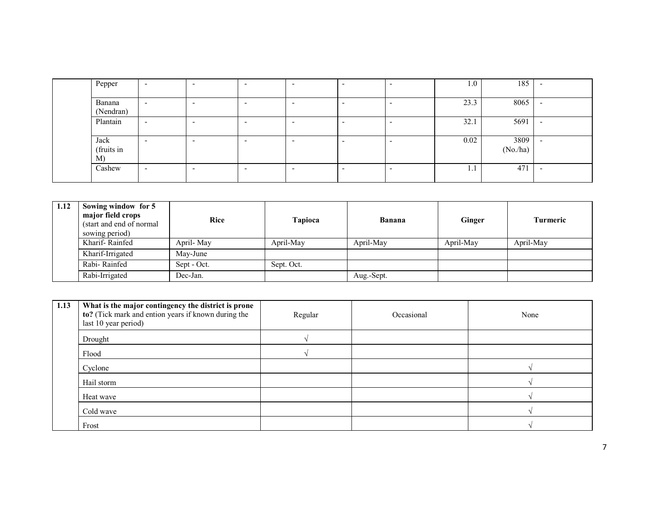| Pepper       | $\overline{\phantom{0}}$ | $\overline{\phantom{0}}$ | $\overline{\phantom{0}}$ | $\overline{\phantom{a}}$ | $\overline{\phantom{0}}$ | 1.0  | 185     |  |
|--------------|--------------------------|--------------------------|--------------------------|--------------------------|--------------------------|------|---------|--|
|              |                          |                          |                          |                          |                          |      |         |  |
| Banana       | $\overline{\phantom{0}}$ | $\overline{\phantom{a}}$ | $\overline{\phantom{0}}$ | $\overline{\phantom{a}}$ | $\overline{\phantom{0}}$ | 23.3 | 8065    |  |
| (Nendran)    |                          |                          |                          |                          |                          |      |         |  |
| Plantain     | $\overline{\phantom{0}}$ | $\overline{\phantom{a}}$ | $\overline{\phantom{0}}$ | $\overline{\phantom{a}}$ | $\overline{\phantom{0}}$ | 32.1 | 5691    |  |
|              |                          |                          |                          |                          |                          |      |         |  |
| Jack         |                          | $\overline{\phantom{a}}$ | -                        | $\overline{\phantom{0}}$ | $\overline{\phantom{0}}$ | 0.02 | 3809    |  |
| (fruits in   |                          |                          |                          |                          |                          |      | (No/ha) |  |
| <sub>M</sub> |                          |                          |                          |                          |                          |      |         |  |
| Cashew       | $\overline{\phantom{0}}$ | $\overline{\phantom{a}}$ | -                        | $\overline{\phantom{0}}$ | $\overline{\phantom{0}}$ | -1.1 | 471     |  |
|              |                          |                          |                          |                          |                          |      |         |  |
|              |                          |                          |                          |                          |                          |      |         |  |

| 1.12 | Sowing window for 5<br>major field crops<br>(start and end of normal)<br>sowing period) | <b>Rice</b> | Tapioca    | <b>Banana</b> | <b>Ginger</b> | <b>Turmeric</b> |
|------|-----------------------------------------------------------------------------------------|-------------|------------|---------------|---------------|-----------------|
|      | Kharif-Rainfed                                                                          | April-May   | April-May  | April-May     | April-May     | April-May       |
|      | Kharif-Irrigated                                                                        | May-June    |            |               |               |                 |
|      | Rabi-Rainfed                                                                            | Sept - Oct. | Sept. Oct. |               |               |                 |
|      | Rabi-Irrigated                                                                          | Dec-Jan.    |            | Aug.-Sept.    |               |                 |

| 1.13 | What is the major contingency the district is prone<br>to? (Tick mark and ention years if known during the<br>last 10 year period) | Regular | Occasional | None |
|------|------------------------------------------------------------------------------------------------------------------------------------|---------|------------|------|
|      | Drought                                                                                                                            |         |            |      |
|      | Flood                                                                                                                              |         |            |      |
|      | Cyclone                                                                                                                            |         |            |      |
|      | Hail storm                                                                                                                         |         |            |      |
|      | Heat wave                                                                                                                          |         |            |      |
|      | Cold wave                                                                                                                          |         |            |      |
|      | Frost                                                                                                                              |         |            |      |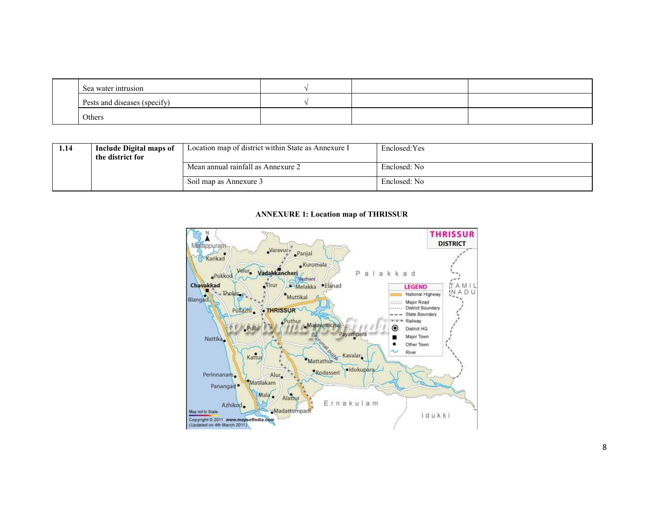| Sea water intrusion          |  |  |
|------------------------------|--|--|
| Pests and diseases (specify) |  |  |
| Others                       |  |  |

| 1.14 | Include Digital maps of<br>the district for | Location map of district within State as Annexure I | Enclosed: Yes |
|------|---------------------------------------------|-----------------------------------------------------|---------------|
|      |                                             | Mean annual rainfall as Annexure 2                  | Enclosed: No  |
|      |                                             | Soil map as Annexure 3                              | Enclosed: No  |

### ANNEXURE 1: Location map of THRISSUR

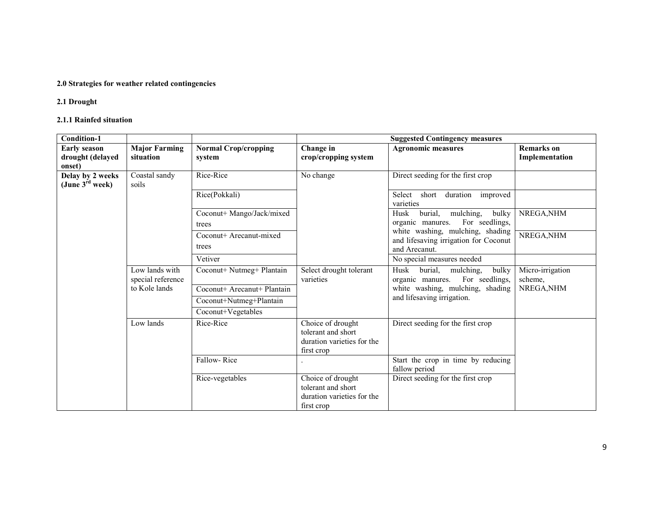### 2.0 Strategies for weather related contingencies

# 2.1 Drought

### 2.1.1 Rainfed situation

| <b>Condition-1</b>          |                                     |                             |                                                                                     | <b>Suggested Contingency measures</b>                                       |                             |
|-----------------------------|-------------------------------------|-----------------------------|-------------------------------------------------------------------------------------|-----------------------------------------------------------------------------|-----------------------------|
| <b>Early season</b>         | <b>Major Farming</b>                | <b>Normal Crop/cropping</b> | Change in                                                                           | <b>Agronomic measures</b>                                                   | Remarks on                  |
| drought (delayed            | situation                           | system                      | crop/cropping system                                                                |                                                                             | Implementation              |
| onset)                      |                                     |                             |                                                                                     |                                                                             |                             |
| Delay by 2 weeks            | Coastal sandy                       | Rice-Rice                   | No change                                                                           | Direct seeding for the first crop                                           |                             |
| (June $3^{\text{rd}}$ week) | soils                               |                             |                                                                                     |                                                                             |                             |
|                             |                                     | Rice(Pokkali)               |                                                                                     | improved<br>Select<br>short<br>duration<br>varieties                        |                             |
|                             |                                     | Coconut+ Mango/Jack/mixed   |                                                                                     | Husk<br>burial,<br>mulching,<br>bulky                                       | NREGA, NHM                  |
|                             |                                     | trees                       |                                                                                     | For seedlings,<br>organic manures.                                          |                             |
|                             |                                     | Coconut+ Arecanut-mixed     |                                                                                     | white washing, mulching, shading                                            | NREGA, NHM                  |
|                             |                                     | trees                       |                                                                                     | and lifesaving irrigation for Coconut                                       |                             |
|                             |                                     |                             |                                                                                     | and Arecanut.                                                               |                             |
|                             |                                     | Vetiver                     |                                                                                     | No special measures needed                                                  |                             |
|                             | Low lands with<br>special reference | Coconut+ Nutmeg+ Plantain   | Select drought tolerant<br>varieties                                                | Husk<br>burial,<br>mulching,<br>bulky<br>organic manures.<br>For seedlings, | Micro-irrigation<br>scheme. |
|                             | to Kole lands                       | Coconut+ Arecanut+ Plantain |                                                                                     | white washing, mulching, shading                                            | NREGA, NHM                  |
|                             |                                     | Coconut+Nutmeg+Plantain     |                                                                                     | and lifesaving irrigation.                                                  |                             |
|                             |                                     | Coconut+Vegetables          |                                                                                     |                                                                             |                             |
|                             | Low lands                           | Rice-Rice                   | Choice of drought<br>tolerant and short<br>duration varieties for the<br>first crop | Direct seeding for the first crop                                           |                             |
|                             |                                     | Fallow-Rice                 |                                                                                     | Start the crop in time by reducing<br>fallow period                         |                             |
|                             |                                     | Rice-vegetables             | Choice of drought<br>tolerant and short<br>duration varieties for the<br>first crop | Direct seeding for the first crop                                           |                             |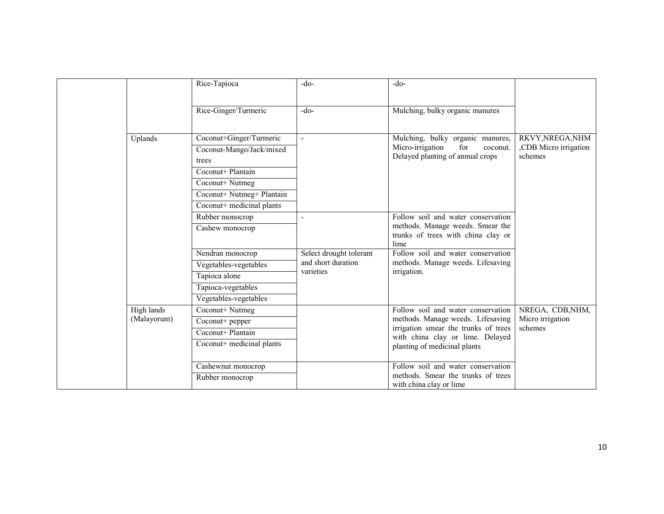|                           | Rice-Tapioca                                                                                                                                                   | -do-                                                       | $-do-$                                                                                                                                                                              |                                                     |
|---------------------------|----------------------------------------------------------------------------------------------------------------------------------------------------------------|------------------------------------------------------------|-------------------------------------------------------------------------------------------------------------------------------------------------------------------------------------|-----------------------------------------------------|
|                           | Rice-Ginger/Turmeric                                                                                                                                           | $-do-$                                                     | Mulching, bulky organic manures                                                                                                                                                     |                                                     |
| Uplands                   | Coconut+Ginger/Turmeric<br>Coconut-Mango/Jack/mixed<br>trees<br>Coconut+ Plantain<br>Coconut+ Nutmeg<br>Coconut+ Nutmeg+ Plantain<br>Coconut+ medicinal plants | $\blacksquare$                                             | Mulching, bulky organic manures,<br>Micro-irrigation<br>for<br>coconut.<br>Delayed planting of annual crops                                                                         | RKVY, NREGA, NHM<br>CDB Micro irrigation<br>schemes |
|                           | Rubber monocrop<br>Cashew monocrop                                                                                                                             |                                                            | Follow soil and water conservation<br>methods. Manage weeds. Smear the<br>trunks of trees with china clay or<br>lime                                                                |                                                     |
|                           | Nendran monocrop<br>Vegetables-vegetables<br>Tapioca alone                                                                                                     | Select drought tolerant<br>and short duration<br>varieties | Follow soil and water conservation<br>methods. Manage weeds. Lifesaving<br>irrigation.                                                                                              |                                                     |
|                           | Tapioca-vegetables<br>Vegetables-vegetables                                                                                                                    |                                                            |                                                                                                                                                                                     |                                                     |
| High lands<br>(Malayorum) | Coconut+ Nutmeg<br>Coconut+ pepper<br>Coconut+ Plantain<br>Coconut+ medicinal plants                                                                           |                                                            | Follow soil and water conservation<br>methods. Manage weeds. Lifesaving<br>irrigation smear the trunks of trees<br>with china clay or lime. Delayed<br>planting of medicinal plants | NREGA, CDB, NHM,<br>Micro irrigation<br>schemes     |
|                           | Cashewnut monocrop<br>Rubber monocrop                                                                                                                          |                                                            | Follow soil and water conservation<br>methods. Smear the trunks of trees<br>with china clay or lime                                                                                 |                                                     |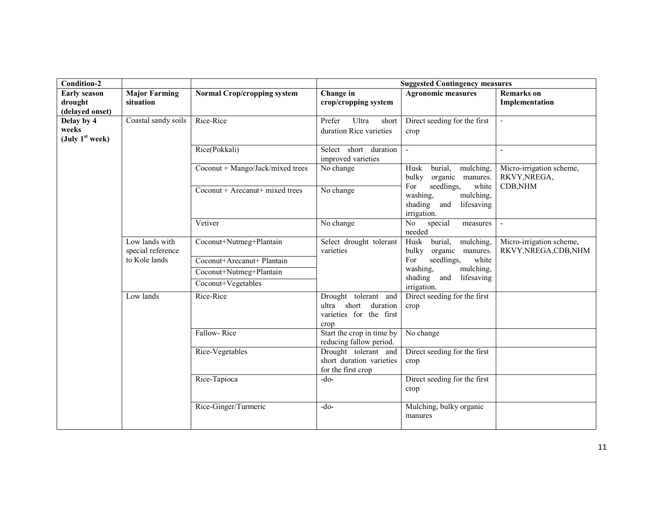| <b>Condition-2</b>                                |                                     |                                                       |                                                                                 | <b>Suggested Contingency measures</b>                                                           |                                                   |
|---------------------------------------------------|-------------------------------------|-------------------------------------------------------|---------------------------------------------------------------------------------|-------------------------------------------------------------------------------------------------|---------------------------------------------------|
| <b>Early season</b><br>drought<br>(delayed onset) | <b>Major Farming</b><br>situation   | <b>Normal Crop/cropping system</b>                    | Change in<br>crop/cropping system                                               | <b>Agronomic measures</b>                                                                       | <b>Remarks</b> on<br>Implementation               |
| Delay by 4<br>weeks<br>(July $1st$ week)          | Coastal sandy soils                 | Rice-Rice                                             | Prefer<br>Ultra<br>short<br>duration Rice varieties                             | Direct seeding for the first<br>crop                                                            | $\Box$                                            |
|                                                   |                                     | Rice(Pokkali)                                         | Select short duration<br>improved varieties                                     | $\overline{\phantom{a}}$                                                                        |                                                   |
|                                                   |                                     | Coconut + Mango/Jack/mixed trees                      | No change                                                                       | burial,<br>mulching,<br>Husk<br>bulky<br>organic manures.                                       | Micro-irrigation scheme,<br>RKVY, NREGA,          |
|                                                   |                                     | Coconut + Arecanut + mixed trees                      | No change                                                                       | seedlings,<br>For<br>white<br>washing,<br>mulching,<br>shading and<br>lifesaving<br>irrigation. | CDB, NHM                                          |
|                                                   |                                     | Vetiver                                               | No change                                                                       | special<br>No<br>measures<br>needed                                                             | $\overline{a}$                                    |
|                                                   | Low lands with<br>special reference | Coconut+Nutmeg+Plantain                               | Select drought tolerant<br>varieties                                            | $burial$ ,<br>mulching,<br>Husk<br>bulky organic manures.                                       | Micro-irrigation scheme,<br>RKVY, NREGA, CDB, NHM |
|                                                   | to Kole lands                       | Coconut+Arecanut+ Plantain<br>Coconut+Nutmeg+Plantain |                                                                                 | For<br>seedlings,<br>white<br>washing,<br>mulching,                                             |                                                   |
|                                                   |                                     | Coconut+Vegetables                                    |                                                                                 | shading and<br>lifesaving<br>irrigation.                                                        |                                                   |
|                                                   | Low lands                           | Rice-Rice                                             | Drought tolerant and<br>ultra short duration<br>varieties for the first<br>crop | Direct seeding for the first<br>crop                                                            |                                                   |
|                                                   |                                     | Fallow-Rice                                           | Start the crop in time by<br>reducing fallow period.                            | No change                                                                                       |                                                   |
|                                                   |                                     | Rice-Vegetables                                       | Drought tolerant and<br>short duration varieties<br>for the first crop          | Direct seeding for the first<br>crop                                                            |                                                   |
|                                                   |                                     | Rice-Tapioca                                          | $-do-$                                                                          | Direct seeding for the first<br>crop                                                            |                                                   |
|                                                   |                                     | Rice-Ginger/Turmeric                                  | $-do-$                                                                          | Mulching, bulky organic<br>manures                                                              |                                                   |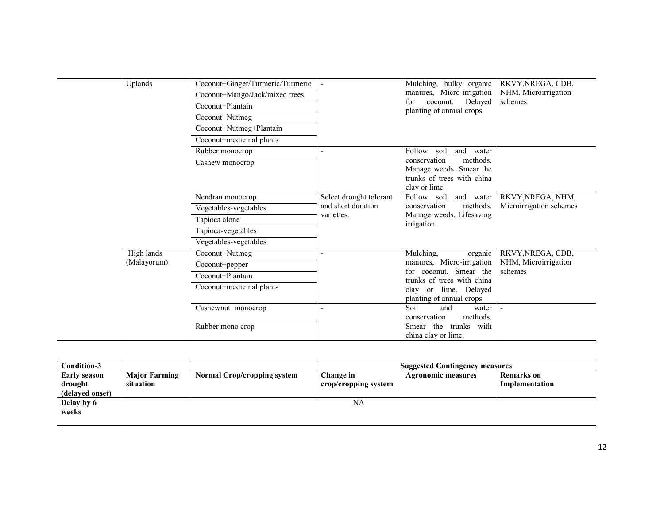| Uplands                   | Coconut+Ginger/Turmeric/Turmeric<br>Coconut+Mango/Jack/mixed trees<br>Coconut+Plantain<br>Coconut+Nutmeg<br>Coconut+Nutmeg+Plantain<br>Coconut+medicinal plants |                                                             | Mulching, bulky organic<br>manures, Micro-irrigation<br>coconut.<br>Delayed<br>for<br>planting of annual crops                                                 | RKVY, NREGA, CDB,<br>NHM, Microirrigation<br>schemes |
|---------------------------|-----------------------------------------------------------------------------------------------------------------------------------------------------------------|-------------------------------------------------------------|----------------------------------------------------------------------------------------------------------------------------------------------------------------|------------------------------------------------------|
|                           | Rubber monocrop<br>Cashew monocrop                                                                                                                              | $\overline{\phantom{a}}$                                    | Follow soil<br>and water<br>conservation<br>methods.<br>Manage weeds. Smear the<br>trunks of trees with china<br>clay or lime                                  |                                                      |
|                           | Nendran monocrop<br>Vegetables-vegetables<br>Tapioca alone<br>Tapioca-vegetables<br>Vegetables-vegetables                                                       | Select drought tolerant<br>and short duration<br>varieties. | Follow soil<br>and water<br>conservation<br>methods.<br>Manage weeds. Lifesaving<br>irrigation.                                                                | RKVY, NREGA, NHM,<br>Microirrigation schemes         |
| High lands<br>(Malayorum) | Coconut+Nutmeg<br>Coconut+pepper<br>Coconut+Plantain<br>Coconut+medicinal plants                                                                                |                                                             | Mulching,<br>organic<br>manures, Micro-irrigation<br>for coconut. Smear the<br>trunks of trees with china<br>clay or lime. Delayed<br>planting of annual crops | RKVY, NREGA, CDB,<br>NHM, Microirrigation<br>schemes |
|                           | Cashewnut monocrop<br>Rubber mono crop                                                                                                                          |                                                             | Soil<br>and<br>water<br>methods.<br>conservation<br>Smear the trunks with<br>china clay or lime.                                                               |                                                      |

| Condition-3         |                      |                                    |                      | <b>Suggested Contingency measures</b> |                |
|---------------------|----------------------|------------------------------------|----------------------|---------------------------------------|----------------|
| <b>Early season</b> | <b>Major Farming</b> | <b>Normal Crop/cropping system</b> | Change in            | <b>Agronomic measures</b>             | Remarks on     |
| drought             | situation            |                                    | crop/cropping system |                                       | Implementation |
| (delaved onset)     |                      |                                    |                      |                                       |                |
| Delay by 6          |                      |                                    | NA                   |                                       |                |
| weeks               |                      |                                    |                      |                                       |                |
|                     |                      |                                    |                      |                                       |                |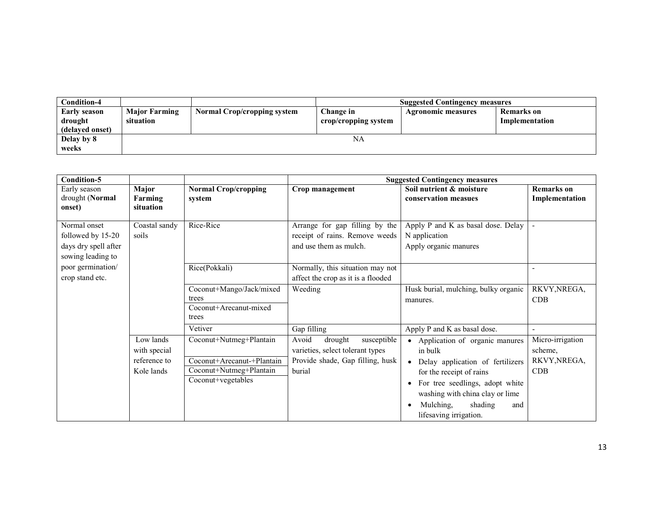| Condition-4                                       |                                   |                                    | <b>Suggested Contingency measures</b> |                           |                              |  |  |
|---------------------------------------------------|-----------------------------------|------------------------------------|---------------------------------------|---------------------------|------------------------------|--|--|
| <b>Early season</b><br>drought<br>(delayed onset) | <b>Major Farming</b><br>situation | <b>Normal Crop/cropping system</b> | Change in<br>crop/cropping system     | <b>Agronomic measures</b> | Remarks on<br>Implementation |  |  |
| Delay by 8<br>weeks                               |                                   |                                    | NA                                    |                           |                              |  |  |

| <b>Condition-5</b>                                                             |                                                         |                                                                                                        |                                                                                                                   | <b>Suggested Contingency measures</b>                                                                                                                                                                                                        |                                                    |
|--------------------------------------------------------------------------------|---------------------------------------------------------|--------------------------------------------------------------------------------------------------------|-------------------------------------------------------------------------------------------------------------------|----------------------------------------------------------------------------------------------------------------------------------------------------------------------------------------------------------------------------------------------|----------------------------------------------------|
| Early season<br>drought (Normal<br>onset)                                      | Major<br>Farming<br>situation                           | <b>Normal Crop/cropping</b><br>system                                                                  | Crop management                                                                                                   | Soil nutrient & moisture<br>conservation measues                                                                                                                                                                                             | <b>Remarks</b> on<br>Implementation                |
| Normal onset<br>followed by 15-20<br>days dry spell after<br>sowing leading to | Coastal sandy<br>soils                                  | Rice-Rice                                                                                              | Arrange for gap filling by the<br>receipt of rains. Remove weeds<br>and use them as mulch.                        | Apply P and K as basal dose. Delay<br>N application<br>Apply organic manures                                                                                                                                                                 |                                                    |
| poor germination/<br>crop stand etc.                                           |                                                         | Rice(Pokkali)                                                                                          | Normally, this situation may not<br>affect the crop as it is a flooded                                            |                                                                                                                                                                                                                                              |                                                    |
|                                                                                |                                                         | Coconut+Mango/Jack/mixed<br>trees<br>Coconut+Arecanut-mixed<br>trees                                   | Weeding                                                                                                           | Husk burial, mulching, bulky organic<br>manures.                                                                                                                                                                                             | RKVY, NREGA,<br>CDB                                |
|                                                                                |                                                         | Vetiver                                                                                                | Gap filling                                                                                                       | Apply P and K as basal dose.                                                                                                                                                                                                                 |                                                    |
|                                                                                | Low lands<br>with special<br>reference to<br>Kole lands | Coconut+Nutmeg+Plantain<br>Coconut+Arecanut-+Plantain<br>Coconut+Nutmeg+Plantain<br>Coconut+vegetables | Avoid<br>susceptible<br>drought<br>varieties, select tolerant types<br>Provide shade, Gap filling, husk<br>burial | • Application of organic manures<br>in bulk<br>• Delay application of fertilizers<br>for the receipt of rains<br>For tree seedlings, adopt white<br>washing with china clay or lime<br>shading<br>Mulching,<br>and<br>lifesaving irrigation. | Micro-irrigation<br>scheme,<br>RKVY, NREGA,<br>CDB |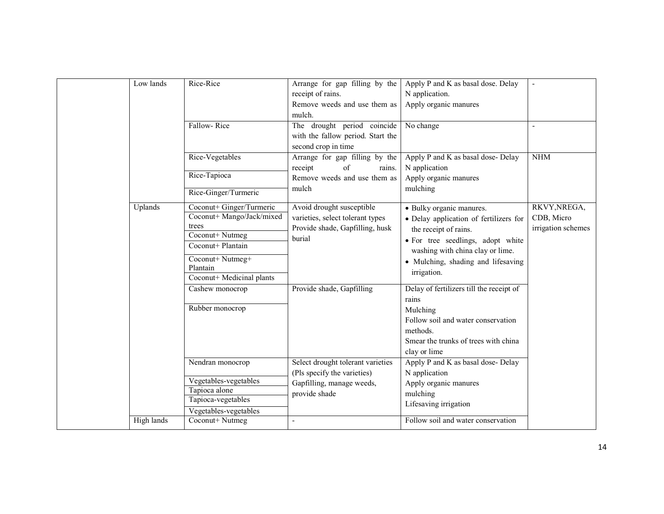| Low lands  | Rice-Rice                                             | Arrange for gap filling by the<br>receipt of rains.                 | Apply P and K as basal dose. Delay<br>N application.                  |                                  |
|------------|-------------------------------------------------------|---------------------------------------------------------------------|-----------------------------------------------------------------------|----------------------------------|
|            |                                                       | Remove weeds and use them as<br>mulch.                              | Apply organic manures                                                 |                                  |
|            | Fallow-Rice                                           | The drought period coincide                                         | No change                                                             | $\blacksquare$                   |
|            |                                                       | with the fallow period. Start the                                   |                                                                       |                                  |
|            |                                                       | second crop in time                                                 |                                                                       |                                  |
|            | Rice-Vegetables                                       | Arrange for gap filling by the                                      | Apply P and K as basal dose- Delay                                    | <b>NHM</b>                       |
|            | Rice-Tapioca                                          | receipt<br>of<br>rains.<br>Remove weeds and use them as             | N application<br>Apply organic manures                                |                                  |
|            | Rice-Ginger/Turmeric                                  | mulch                                                               | mulching                                                              |                                  |
|            |                                                       |                                                                     |                                                                       |                                  |
| Uplands    | Coconut+ Ginger/Turmeric<br>Coconut+ Mango/Jack/mixed | Avoid drought susceptible                                           | · Bulky organic manures.                                              | RKVY, NREGA,                     |
|            | trees                                                 | varieties, select tolerant types<br>Provide shade, Gapfilling, husk | • Delay application of fertilizers for                                | CDB, Micro<br>irrigation schemes |
|            | Coconut+ Nutmeg                                       | burial                                                              | the receipt of rains.                                                 |                                  |
|            | Coconut+ Plantain                                     |                                                                     | • For tree seedlings, adopt white<br>washing with china clay or lime. |                                  |
|            | Coconut+ Nutmeg+                                      |                                                                     | · Mulching, shading and lifesaving                                    |                                  |
|            | Plantain                                              |                                                                     | irrigation.                                                           |                                  |
|            | Coconut+ Medicinal plants                             |                                                                     |                                                                       |                                  |
|            | Cashew monocrop                                       | Provide shade, Gapfilling                                           | Delay of fertilizers till the receipt of<br>rains                     |                                  |
|            | Rubber monocrop                                       |                                                                     | Mulching                                                              |                                  |
|            |                                                       |                                                                     | Follow soil and water conservation                                    |                                  |
|            |                                                       |                                                                     | methods.                                                              |                                  |
|            |                                                       |                                                                     | Smear the trunks of trees with china                                  |                                  |
|            |                                                       |                                                                     | clay or lime                                                          |                                  |
|            | Nendran monocrop                                      | Select drought tolerant varieties                                   | Apply P and K as basal dose- Delay                                    |                                  |
|            | Vegetables-vegetables                                 | (Pls specify the varieties)<br>Gapfilling, manage weeds,            | N application<br>Apply organic manures                                |                                  |
|            | Tapioca alone                                         | provide shade                                                       | mulching                                                              |                                  |
|            | Tapioca-vegetables                                    |                                                                     | Lifesaving irrigation                                                 |                                  |
|            | Vegetables-vegetables                                 |                                                                     |                                                                       |                                  |
| High lands | Coconut+Nutmeg                                        | $\blacksquare$                                                      | Follow soil and water conservation                                    |                                  |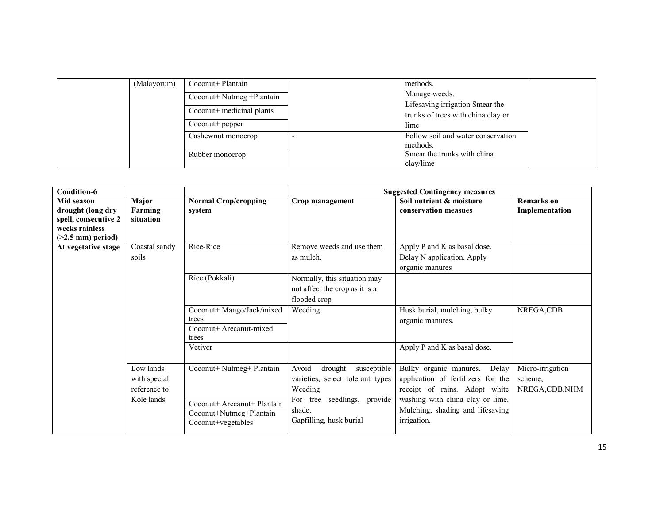| (Malayorum) | Coconut+ Plantain          | methods.                           |  |
|-------------|----------------------------|------------------------------------|--|
|             | Coconut+ Nutmeg + Plantain | Manage weeds.                      |  |
|             | Coconut+ medicinal plants  | Lifesaving irrigation Smear the    |  |
|             |                            | trunks of trees with china clay or |  |
|             | $Cocount+pepper$           | lime                               |  |
|             | Cashewnut monocrop         | Follow soil and water conservation |  |
|             |                            | methods.                           |  |
|             | Rubber monocrop            | Smear the trunks with china        |  |
|             |                            | clay/lime                          |  |

| Condition-6                                                                                       |                                                         |                                                                                                           |                                                                                                                                                    | <b>Suggested Contingency measures</b>                                                                                                                                                         |                                                |
|---------------------------------------------------------------------------------------------------|---------------------------------------------------------|-----------------------------------------------------------------------------------------------------------|----------------------------------------------------------------------------------------------------------------------------------------------------|-----------------------------------------------------------------------------------------------------------------------------------------------------------------------------------------------|------------------------------------------------|
| Mid season<br>drought (long dry<br>spell, consecutive 2<br>weeks rainless<br>$($ >2.5 mm) period) | Major<br>Farming<br>situation                           | <b>Normal Crop/cropping</b><br>system                                                                     | Crop management                                                                                                                                    | Soil nutrient & moisture<br>conservation measues                                                                                                                                              | <b>Remarks</b> on<br>Implementation            |
| At vegetative stage                                                                               | Coastal sandy<br>soils                                  | Rice-Rice                                                                                                 | Remove weeds and use them<br>as mulch.                                                                                                             | Apply P and K as basal dose.<br>Delay N application. Apply<br>organic manures                                                                                                                 |                                                |
|                                                                                                   |                                                         | Rice (Pokkali)                                                                                            | Normally, this situation may<br>not affect the crop as it is a<br>flooded crop                                                                     |                                                                                                                                                                                               |                                                |
|                                                                                                   |                                                         | Coconut+ Mango/Jack/mixed<br>trees<br>Coconut+ Arecanut-mixed<br>trees                                    | Weeding                                                                                                                                            | Husk burial, mulching, bulky<br>organic manures.                                                                                                                                              | NREGA,CDB                                      |
|                                                                                                   |                                                         | Vetiver                                                                                                   |                                                                                                                                                    | Apply P and K as basal dose.                                                                                                                                                                  |                                                |
|                                                                                                   | Low lands<br>with special<br>reference to<br>Kole lands | Coconut+ Nutmeg+ Plantain<br>Coconut+ Arecanut+ Plantain<br>Coconut+Nutmeg+Plantain<br>Coconut+vegetables | Avoid<br>drought<br>susceptible<br>varieties, select tolerant types<br>Weeding<br>For tree seedlings, provide<br>shade.<br>Gapfilling, husk burial | Bulky organic manures.<br>Delay<br>application of fertilizers for the<br>receipt of rains. Adopt white<br>washing with china clay or lime.<br>Mulching, shading and lifesaving<br>irrigation. | Micro-irrigation<br>scheme,<br>NREGA, CDB, NHM |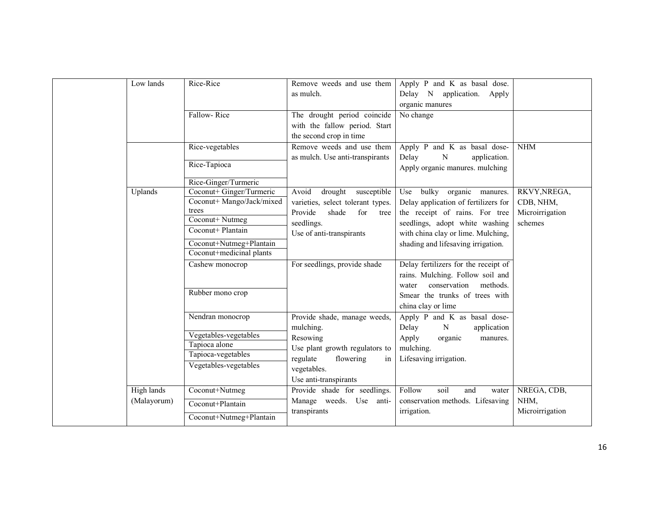| Low lands                 | Rice-Rice                                                                                                                                                                             | Remove weeds and use them<br>as mulch.                                                                                                                         | Apply P and K as basal dose.<br>Delay N application. Apply<br>organic manures                                                                                                                                      |                                                         |
|---------------------------|---------------------------------------------------------------------------------------------------------------------------------------------------------------------------------------|----------------------------------------------------------------------------------------------------------------------------------------------------------------|--------------------------------------------------------------------------------------------------------------------------------------------------------------------------------------------------------------------|---------------------------------------------------------|
|                           | Fallow-Rice                                                                                                                                                                           | The drought period coincide<br>with the fallow period. Start<br>the second crop in time                                                                        | No change                                                                                                                                                                                                          |                                                         |
|                           | Rice-vegetables<br>Rice-Tapioca                                                                                                                                                       | Remove weeds and use them<br>as mulch. Use anti-transpirants                                                                                                   | Apply P and K as basal dose-<br>Delay<br>$\mathbf N$<br>application.<br>Apply organic manures. mulching                                                                                                            | <b>NHM</b>                                              |
| Uplands                   | Rice-Ginger/Turmeric<br>Coconut+ Ginger/Turmeric<br>Coconut+ Mango/Jack/mixed<br>trees<br>Coconut+ Nutmeg<br>Coconut+ Plantain<br>Coconut+Nutmeg+Plantain<br>Coconut+medicinal plants | drought<br>Avoid<br>susceptible<br>varieties, select tolerant types.<br>Provide<br>shade<br>for<br>tree<br>seedlings.<br>Use of anti-transpirants              | Use bulky organic manures.<br>Delay application of fertilizers for<br>the receipt of rains. For tree<br>seedlings, adopt white washing<br>with china clay or lime. Mulching,<br>shading and lifesaving irrigation. | RKVY, NREGA,<br>CDB, NHM,<br>Microirrigation<br>schemes |
|                           | Cashew monocrop<br>Rubber mono crop                                                                                                                                                   | For seedlings, provide shade                                                                                                                                   | Delay fertilizers for the receipt of<br>rains. Mulching. Follow soil and<br>conservation<br>methods.<br>water<br>Smear the trunks of trees with<br>china clay or lime                                              |                                                         |
|                           | Nendran monocrop<br>Vegetables-vegetables<br>Tapioca alone<br>Tapioca-vegetables<br>Vegetables-vegetables                                                                             | Provide shade, manage weeds,<br>mulching.<br>Resowing<br>Use plant growth regulators to<br>regulate<br>flowering<br>in<br>vegetables.<br>Use anti-transpirants | Apply P and K as basal dose-<br>Delay<br>${\bf N}$<br>application<br>Apply<br>organic<br>manures.<br>mulching.<br>Lifesaving irrigation.                                                                           |                                                         |
| High lands<br>(Malayorum) | Coconut+Nutmeg<br>Coconut+Plantain<br>Coconut+Nutmeg+Plantain                                                                                                                         | Provide shade for seedlings.<br>Manage weeds. Use anti-<br>transpirants                                                                                        | Follow<br>soil<br>and<br>water<br>conservation methods. Lifesaving<br>irrigation.                                                                                                                                  | NREGA, CDB,<br>NHM,<br>Microirrigation                  |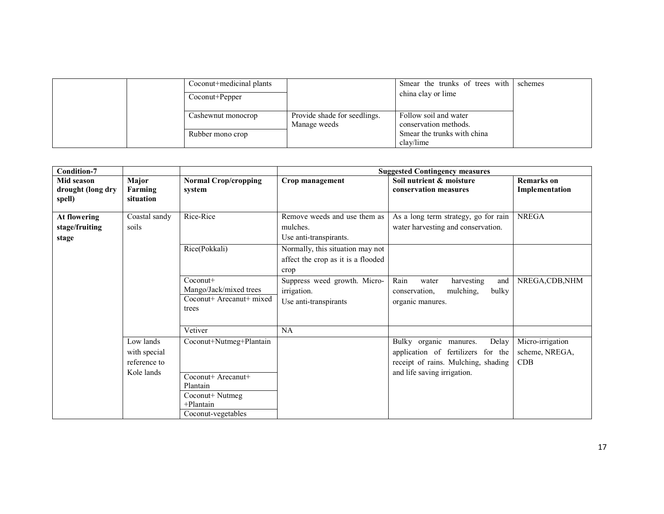|  | Coconut+medicinal plants<br>Coconut+Pepper |                                              | Smear the trunks of trees with schemes<br>china clay or lime |  |
|--|--------------------------------------------|----------------------------------------------|--------------------------------------------------------------|--|
|  | Cashewnut monocrop                         | Provide shade for seedlings.<br>Manage weeds | Follow soil and water<br>conservation methods.               |  |
|  | Rubber mono crop                           |                                              | Smear the trunks with china<br>clav/lime                     |  |

| <b>Condition-7</b>                        |                                                         |                                                                                                                    |                                                                                | <b>Suggested Contingency measures</b>                                                                                                          |                                                  |
|-------------------------------------------|---------------------------------------------------------|--------------------------------------------------------------------------------------------------------------------|--------------------------------------------------------------------------------|------------------------------------------------------------------------------------------------------------------------------------------------|--------------------------------------------------|
| Mid season<br>drought (long dry<br>spell) | Major<br>Farming<br>situation                           | <b>Normal Crop/cropping</b><br>system                                                                              | Crop management                                                                | Soil nutrient & moisture<br>conservation measures                                                                                              | <b>Remarks</b> on<br>Implementation              |
| At flowering<br>stage/fruiting<br>stage   | Coastal sandy<br>soils                                  | Rice-Rice                                                                                                          | Remove weeds and use them as<br>mulches.<br>Use anti-transpirants.             | As a long term strategy, go for rain<br>water harvesting and conservation.                                                                     | <b>NREGA</b>                                     |
|                                           |                                                         | Rice(Pokkali)                                                                                                      | Normally, this situation may not<br>affect the crop as it is a flooded<br>crop |                                                                                                                                                |                                                  |
|                                           |                                                         | $Coconut+$<br>Mango/Jack/mixed trees<br>Coconut+ Arecanut+ mixed<br>trees                                          | Suppress weed growth. Micro-<br>irrigation.<br>Use anti-transpirants           | Rain<br>harvesting<br>and<br>water<br>mulching,<br>bulky<br>conservation,<br>organic manures.                                                  | NREGA, CDB, NHM                                  |
|                                           |                                                         | Vetiver                                                                                                            | NA                                                                             |                                                                                                                                                |                                                  |
|                                           | Low lands<br>with special<br>reference to<br>Kole lands | Coconut+Nutmeg+Plantain<br>Coconut+ Arecanut+<br>Plantain<br>Coconut+ Nutmeg<br>$+$ Plantain<br>Coconut-vegetables |                                                                                | Delay<br>Bulky organic<br>manures.<br>application of fertilizers for the<br>receipt of rains. Mulching, shading<br>and life saving irrigation. | Micro-irrigation<br>scheme, NREGA,<br><b>CDB</b> |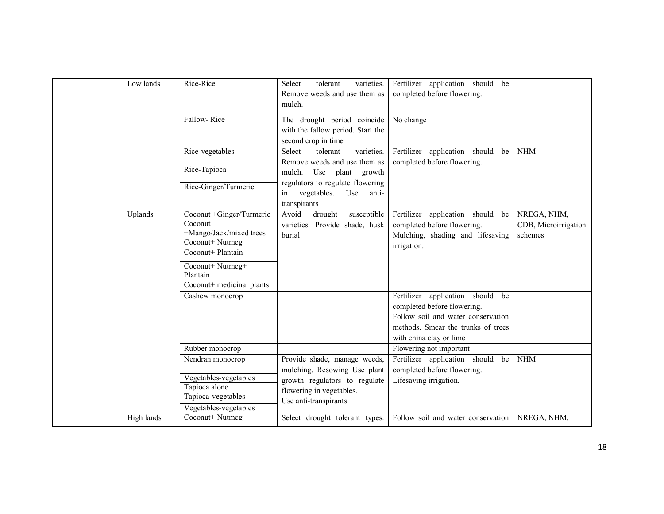| Fallow-Rice<br>The drought period coincide<br>No change<br>with the fallow period. Start the<br>second crop in time<br>Rice-vegetables<br>Fertilizer application should be<br>varieties.<br>Select<br>tolerant<br>Remove weeds and use them as<br>completed before flowering.<br>Rice-Tapioca<br>mulch. Use plant growth<br>regulators to regulate flowering<br>Rice-Ginger/Turmeric<br>vegetables.<br>Use<br>anti-<br>in<br>transpirants<br>Coconut +Ginger/Turmeric<br>Avoid<br>Uplands<br>drought<br>Fertilizer application should be<br>susceptible<br>Coconut<br>varieties. Provide shade, husk<br>completed before flowering.<br>+Mango/Jack/mixed trees<br>burial<br>Mulching, shading and lifesaving<br>Coconut+ Nutmeg<br>irrigation.<br>Coconut+ Plantain<br>Coconut+ Nutmeg+<br>Plantain<br>Coconut+ medicinal plants<br>Fertilizer application should be<br>Cashew monocrop<br>completed before flowering.<br>Follow soil and water conservation<br>methods. Smear the trunks of trees<br>with china clay or lime |                                                |
|-------------------------------------------------------------------------------------------------------------------------------------------------------------------------------------------------------------------------------------------------------------------------------------------------------------------------------------------------------------------------------------------------------------------------------------------------------------------------------------------------------------------------------------------------------------------------------------------------------------------------------------------------------------------------------------------------------------------------------------------------------------------------------------------------------------------------------------------------------------------------------------------------------------------------------------------------------------------------------------------------------------------------------|------------------------------------------------|
|                                                                                                                                                                                                                                                                                                                                                                                                                                                                                                                                                                                                                                                                                                                                                                                                                                                                                                                                                                                                                               |                                                |
|                                                                                                                                                                                                                                                                                                                                                                                                                                                                                                                                                                                                                                                                                                                                                                                                                                                                                                                                                                                                                               | <b>NHM</b>                                     |
|                                                                                                                                                                                                                                                                                                                                                                                                                                                                                                                                                                                                                                                                                                                                                                                                                                                                                                                                                                                                                               | NREGA, NHM,<br>CDB, Microirrigation<br>schemes |
|                                                                                                                                                                                                                                                                                                                                                                                                                                                                                                                                                                                                                                                                                                                                                                                                                                                                                                                                                                                                                               |                                                |
| Rubber monocrop<br>Flowering not important<br>Provide shade, manage weeds,<br>Fertilizer application should<br>Nendran monocrop<br>be<br>mulching. Resowing Use plant<br>completed before flowering.<br>Vegetables-vegetables<br>growth regulators to regulate<br>Lifesaving irrigation.<br>Tapioca alone<br>flowering in vegetables.<br>Tapioca-vegetables<br>Use anti-transpirants<br>Vegetables-vegetables<br>High lands<br>Coconut+ Nutmeg<br>Select drought tolerant types.<br>Follow soil and water conservation<br>NREGA, NHM,                                                                                                                                                                                                                                                                                                                                                                                                                                                                                         | <b>NHM</b>                                     |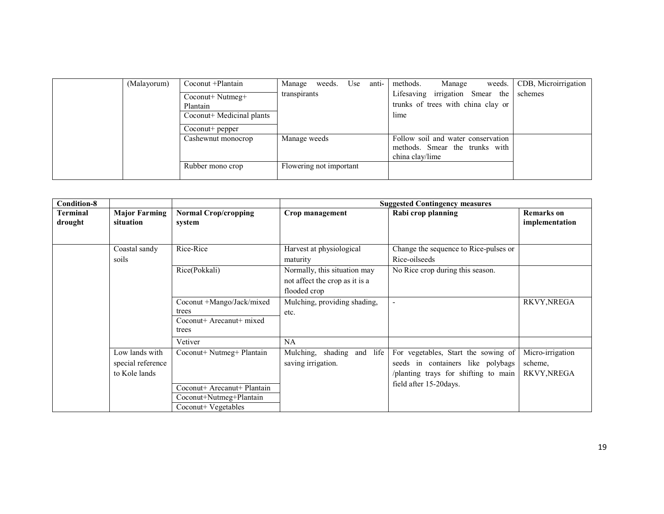| (Malayorum) | Coconut + Plantain        | Manage<br>weeds.        | Use | anti- | methods.        | Manage | weeds.                             | CDB, Microirrigation |
|-------------|---------------------------|-------------------------|-----|-------|-----------------|--------|------------------------------------|----------------------|
|             | $Coconut+Nutmeg+$         | transpirants            |     |       | Lifesaving      |        | irrigation Smear the               | schemes              |
|             | Plantain                  |                         |     |       |                 |        | trunks of trees with china clay or |                      |
|             | Coconut+ Medicinal plants |                         |     |       | lime            |        |                                    |                      |
|             | Coconut+ pepper           |                         |     |       |                 |        |                                    |                      |
|             | Cashewnut monocrop        | Manage weeds            |     |       |                 |        | Follow soil and water conservation |                      |
|             |                           |                         |     |       |                 |        | methods. Smear the trunks with     |                      |
|             |                           |                         |     |       | china clay/lime |        |                                    |                      |
|             | Rubber mono crop          | Flowering not important |     |       |                 |        |                                    |                      |
|             |                           |                         |     |       |                 |        |                                    |                      |

| <b>Condition-8</b>         |                                                      |                                                                                                            |                                                                                | <b>Suggested Contingency measures</b>                                                                                                      |                                            |
|----------------------------|------------------------------------------------------|------------------------------------------------------------------------------------------------------------|--------------------------------------------------------------------------------|--------------------------------------------------------------------------------------------------------------------------------------------|--------------------------------------------|
| <b>Terminal</b><br>drought | <b>Major Farming</b><br>situation                    | <b>Normal Crop/cropping</b><br>system                                                                      | Crop management                                                                | Rabi crop planning                                                                                                                         | <b>Remarks</b> on<br>implementation        |
|                            | Coastal sandy<br>soils                               | Rice-Rice                                                                                                  | Harvest at physiological<br>maturity                                           | Change the sequence to Rice-pulses or<br>Rice-oilseeds                                                                                     |                                            |
|                            |                                                      | Rice(Pokkali)                                                                                              | Normally, this situation may<br>not affect the crop as it is a<br>flooded crop | No Rice crop during this season.                                                                                                           |                                            |
|                            |                                                      | Coconut +Mango/Jack/mixed<br>trees<br>Coconut+ Arecanut+ mixed<br>trees                                    | Mulching, providing shading,<br>etc.                                           | $\overline{\phantom{a}}$                                                                                                                   | <b>RKVY, NREGA</b>                         |
|                            |                                                      | Vetiver                                                                                                    | <b>NA</b>                                                                      |                                                                                                                                            |                                            |
|                            | Low lands with<br>special reference<br>to Kole lands | Coconut+ Nutmeg+ Plantain<br>Coconut+ Arecanut+ Plantain<br>Coconut+Nutmeg+Plantain<br>Coconut+ Vegetables | Mulching, shading and<br>life<br>saving irrigation.                            | For vegetables, Start the sowing of<br>seeds in containers like polybags<br>/planting trays for shifting to main<br>field after 15-20days. | Micro-irrigation<br>scheme,<br>RKVY, NREGA |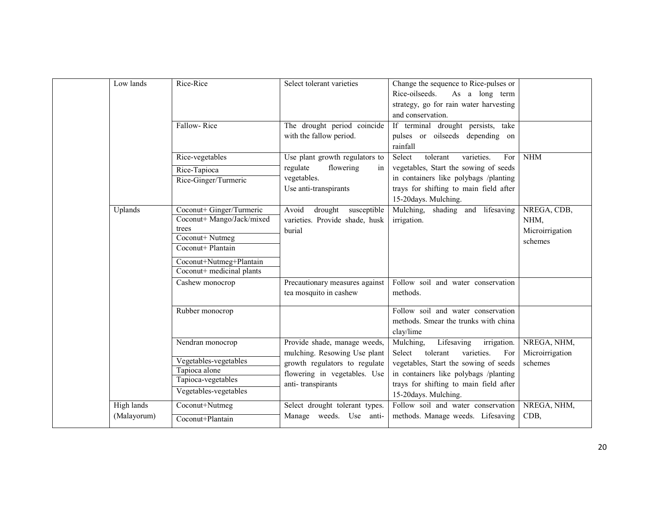| Low lands                 | Rice-Rice                                                                                                                                                      | Select tolerant varieties                                                                                                                          | Change the sequence to Rice-pulses or<br>Rice-oilseeds.<br>As a long term<br>strategy, go for rain water harvesting<br>and conservation.                                                                                              |                                                   |
|---------------------------|----------------------------------------------------------------------------------------------------------------------------------------------------------------|----------------------------------------------------------------------------------------------------------------------------------------------------|---------------------------------------------------------------------------------------------------------------------------------------------------------------------------------------------------------------------------------------|---------------------------------------------------|
|                           | Fallow-Rice                                                                                                                                                    | The drought period coincide<br>with the fallow period.                                                                                             | If terminal drought persists, take<br>pulses or oilseeds depending on<br>rainfall                                                                                                                                                     |                                                   |
|                           | Rice-vegetables<br>Rice-Tapioca<br>Rice-Ginger/Turmeric                                                                                                        | Use plant growth regulators to<br>regulate<br>flowering<br>in<br>vegetables.<br>Use anti-transpirants                                              | tolerant<br>Select<br>varieties.<br>For<br>vegetables, Start the sowing of seeds<br>in containers like polybags /planting<br>trays for shifting to main field after<br>15-20days. Mulching.                                           | <b>NHM</b>                                        |
| Uplands                   | Coconut+ Ginger/Turmeric<br>Coconut+ Mango/Jack/mixed<br>trees<br>Coconut+ Nutmeg<br>Coconut+ Plantain<br>Coconut+Nutmeg+Plantain<br>Coconut+ medicinal plants | Avoid<br>drought<br>susceptible<br>varieties. Provide shade, husk<br>burial                                                                        | Mulching, shading and lifesaving<br>irrigation.                                                                                                                                                                                       | NREGA, CDB,<br>NHM,<br>Microirrigation<br>schemes |
|                           | Cashew monocrop                                                                                                                                                | Precautionary measures against<br>tea mosquito in cashew                                                                                           | Follow soil and water conservation<br>methods.                                                                                                                                                                                        |                                                   |
|                           | Rubber monocrop                                                                                                                                                |                                                                                                                                                    | Follow soil and water conservation<br>methods. Smear the trunks with china<br>clay/lime                                                                                                                                               |                                                   |
|                           | Nendran monocrop<br>Vegetables-vegetables<br>Tapioca alone<br>Tapioca-vegetables<br>Vegetables-vegetables                                                      | Provide shade, manage weeds,<br>mulching. Resowing Use plant<br>growth regulators to regulate<br>flowering in vegetables. Use<br>anti-transpirants | Mulching,<br>Lifesaving<br>irrigation.<br>Select<br>tolerant<br>varieties.<br>For<br>vegetables, Start the sowing of seeds<br>in containers like polybags /planting<br>trays for shifting to main field after<br>15-20days. Mulching. | NREGA, NHM,<br>Microirrigation<br>schemes         |
| High lands<br>(Malayorum) | Coconut+Nutmeg<br>Coconut+Plantain                                                                                                                             | Select drought tolerant types.<br>Manage weeds. Use anti-                                                                                          | Follow soil and water conservation<br>methods. Manage weeds. Lifesaving                                                                                                                                                               | NREGA, NHM,<br>CDB,                               |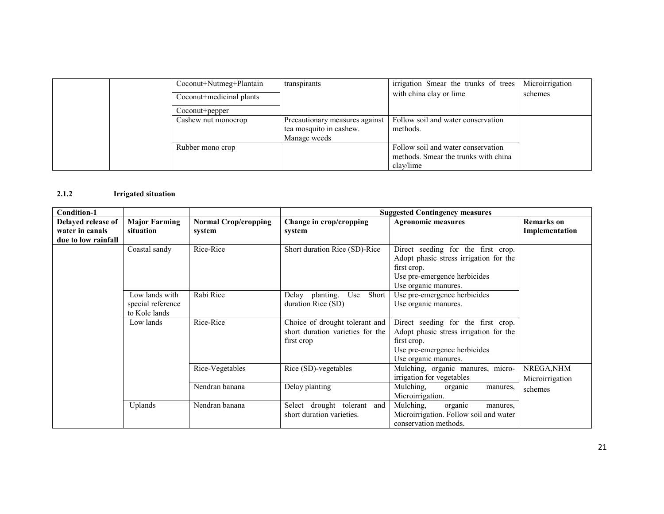|  | Coconut+Nutmeg+Plantain  | transpirants                   | irrigation Smear the trunks of trees | Microirrigation |
|--|--------------------------|--------------------------------|--------------------------------------|-----------------|
|  | Coconut+medicinal plants |                                | with china clay or lime              | schemes         |
|  | Coconut+pepper           |                                |                                      |                 |
|  | Cashew nut monocrop      | Precautionary measures against | Follow soil and water conservation   |                 |
|  |                          | tea mosquito in cashew.        | methods.                             |                 |
|  |                          | Manage weeds                   |                                      |                 |
|  | Rubber mono crop         |                                | Follow soil and water conservation   |                 |
|  |                          |                                | methods. Smear the trunks with china |                 |
|  |                          |                                | clay/lime                            |                 |

#### 2.1.2Irrigated situation

| <b>Condition-1</b>  |                      |                             |                                  | <b>Suggested Contingency measures</b>  |                   |
|---------------------|----------------------|-----------------------------|----------------------------------|----------------------------------------|-------------------|
| Delayed release of  | <b>Major Farming</b> | <b>Normal Crop/cropping</b> | Change in crop/cropping          | <b>Agronomic measures</b>              | <b>Remarks</b> on |
| water in canals     | situation            | system                      | system                           |                                        | Implementation    |
| due to low rainfall |                      |                             |                                  |                                        |                   |
|                     | Coastal sandy        | Rice-Rice                   | Short duration Rice (SD)-Rice    | Direct seeding for the first crop.     |                   |
|                     |                      |                             |                                  | Adopt phasic stress irrigation for the |                   |
|                     |                      |                             |                                  | first crop.                            |                   |
|                     |                      |                             |                                  | Use pre-emergence herbicides           |                   |
|                     |                      |                             |                                  | Use organic manures.                   |                   |
|                     | Low lands with       | Rabi Rice                   | Delay planting.<br>Use<br>Short  | Use pre-emergence herbicides           |                   |
|                     | special reference    |                             | duration Rice (SD)               | Use organic manures.                   |                   |
|                     | to Kole lands        |                             |                                  |                                        |                   |
|                     | Low lands            | Rice-Rice                   | Choice of drought tolerant and   | Direct seeding for the first crop.     |                   |
|                     |                      |                             | short duration varieties for the | Adopt phasic stress irrigation for the |                   |
|                     |                      |                             | first crop                       | first crop.                            |                   |
|                     |                      |                             |                                  | Use pre-emergence herbicides           |                   |
|                     |                      |                             |                                  | Use organic manures.                   |                   |
|                     |                      | Rice-Vegetables             | Rice (SD)-vegetables             | Mulching, organic manures, micro-      | NREGA, NHM        |
|                     |                      |                             |                                  | irrigation for vegetables              | Microirrigation   |
|                     |                      | Nendran banana              | Delay planting                   | Mulching,<br>organic<br>manures.       | schemes           |
|                     |                      |                             |                                  | Microirrigation.                       |                   |
|                     | <b>Uplands</b>       | Nendran banana              | Select drought tolerant and      | Mulching,<br>organic<br>manures.       |                   |
|                     |                      |                             | short duration varieties.        | Microirrigation. Follow soil and water |                   |
|                     |                      |                             |                                  | conservation methods.                  |                   |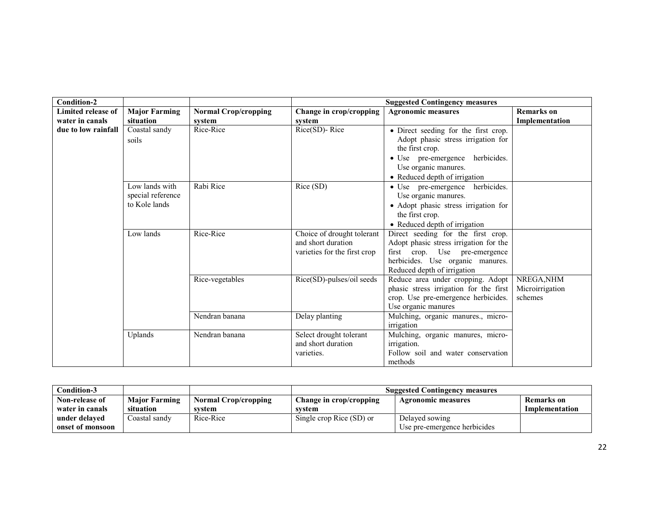| Condition-2                           |                                                      |                                       | <b>Suggested Contingency measures</b>                                            |                                                                                                                                                                                           |                                          |  |
|---------------------------------------|------------------------------------------------------|---------------------------------------|----------------------------------------------------------------------------------|-------------------------------------------------------------------------------------------------------------------------------------------------------------------------------------------|------------------------------------------|--|
| Limited release of<br>water in canals | <b>Major Farming</b><br>situation                    | <b>Normal Crop/cropping</b><br>system | Change in crop/cropping<br>system                                                | <b>Agronomic measures</b>                                                                                                                                                                 | <b>Remarks</b> on<br>Implementation      |  |
| due to low rainfall                   | Coastal sandy<br>soils                               | Rice-Rice                             | Rice(SD)-Rice                                                                    | • Direct seeding for the first crop.<br>Adopt phasic stress irrigation for<br>the first crop.<br>· Use pre-emergence herbicides.<br>Use organic manures.<br>• Reduced depth of irrigation |                                          |  |
|                                       | Low lands with<br>special reference<br>to Kole lands | Rabi Rice                             | Rice (SD)                                                                        | · Use pre-emergence herbicides.<br>Use organic manures.<br>• Adopt phasic stress irrigation for<br>the first crop.<br>• Reduced depth of irrigation                                       |                                          |  |
|                                       | Low lands                                            | Rice-Rice                             | Choice of drought tolerant<br>and short duration<br>varieties for the first crop | Direct seeding for the first crop.<br>Adopt phasic stress irrigation for the<br>first crop. Use pre-emergence<br>herbicides. Use organic manures.<br>Reduced depth of irrigation          |                                          |  |
|                                       |                                                      | Rice-vegetables                       | Rice(SD)-pulses/oil seeds                                                        | Reduce area under cropping. Adopt<br>phasic stress irrigation for the first<br>crop. Use pre-emergence herbicides.<br>Use organic manures                                                 | NREGA, NHM<br>Microirrigation<br>schemes |  |
|                                       |                                                      | Nendran banana                        | Delay planting                                                                   | Mulching, organic manures., micro-<br>irrigation                                                                                                                                          |                                          |  |
|                                       | Uplands                                              | Nendran banana                        | Select drought tolerant<br>and short duration<br>varieties.                      | Mulching, organic manures, micro-<br>irrigation.<br>Follow soil and water conservation<br>methods                                                                                         |                                          |  |

| $\mathop{\mathsf{Condition}}\nolimits\mathop{\mathsf{3}}\nolimits$ |                      |                             | <b>Suggested Contingency measures</b> |                              |                |
|--------------------------------------------------------------------|----------------------|-----------------------------|---------------------------------------|------------------------------|----------------|
| Non-release of                                                     | <b>Major Farming</b> | <b>Normal Crop/cropping</b> | <b>Change in crop/cropping</b>        | <b>Agronomic measures</b>    | Remarks on     |
| water in canals                                                    | situation            | svstem                      | svstem                                |                              | Implementation |
| under delaved                                                      | Coastal sandv        | Rice-Rice                   | Single crop Rice (SD) or              | Delayed sowing               |                |
| onset of monsoon                                                   |                      |                             |                                       | Use pre-emergence herbicides |                |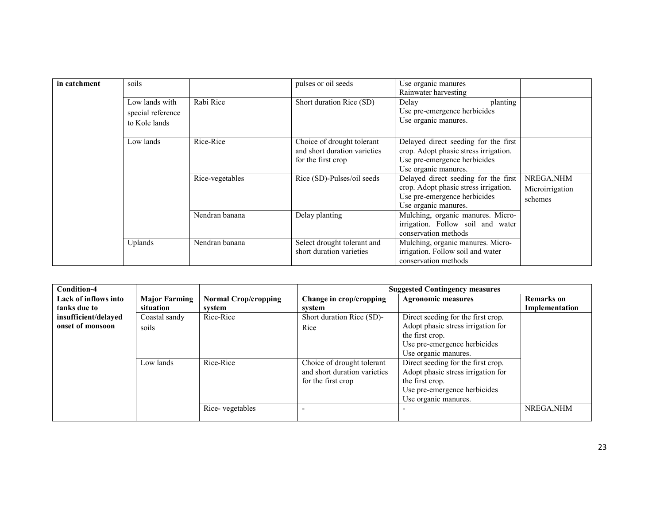| in catchment | soils             |                 | pulses or oil seeds                                        | Use organic manures                                                           |                 |
|--------------|-------------------|-----------------|------------------------------------------------------------|-------------------------------------------------------------------------------|-----------------|
|              |                   |                 |                                                            | Rainwater harvesting                                                          |                 |
|              | Low lands with    | Rabi Rice       | Short duration Rice (SD)                                   | Delay<br>planting                                                             |                 |
|              | special reference |                 |                                                            | Use pre-emergence herbicides                                                  |                 |
|              | to Kole lands     |                 |                                                            | Use organic manures.                                                          |                 |
|              | Low lands         | Rice-Rice       | Choice of drought tolerant<br>and short duration varieties | Delayed direct seeding for the first<br>crop. Adopt phasic stress irrigation. |                 |
|              |                   |                 | for the first crop                                         | Use pre-emergence herbicides                                                  |                 |
|              |                   |                 |                                                            | Use organic manures.                                                          |                 |
|              |                   | Rice-vegetables | Rice (SD)-Pulses/oil seeds                                 | Delayed direct seeding for the first                                          | NREGA, NHM      |
|              |                   |                 |                                                            | crop. Adopt phasic stress irrigation.                                         | Microirrigation |
|              |                   |                 |                                                            | Use pre-emergence herbicides                                                  | schemes         |
|              |                   |                 |                                                            | Use organic manures.                                                          |                 |
|              |                   | Nendran banana  | Delay planting                                             | Mulching, organic manures. Micro-                                             |                 |
|              |                   |                 |                                                            | irrigation. Follow soil and water                                             |                 |
|              |                   |                 |                                                            | conservation methods                                                          |                 |
|              | Uplands           | Nendran banana  | Select drought tolerant and                                | Mulching, organic manures. Micro-                                             |                 |
|              |                   |                 | short duration varieties                                   | irrigation. Follow soil and water                                             |                 |
|              |                   |                 |                                                            | conservation methods                                                          |                 |

| <b>Condition-4</b>   |                      |                             | <b>Suggested Contingency measures</b> |                                    |                   |  |
|----------------------|----------------------|-----------------------------|---------------------------------------|------------------------------------|-------------------|--|
| Lack of inflows into | <b>Major Farming</b> | <b>Normal Crop/cropping</b> | Change in crop/cropping               | <b>Agronomic measures</b>          | <b>Remarks</b> on |  |
| tanks due to         | situation            | system                      | system                                |                                    | Implementation    |  |
| insufficient/delayed | Coastal sandy        | Rice-Rice                   | Short duration Rice (SD)-             | Direct seeding for the first crop. |                   |  |
| onset of monsoon     | soils                |                             | Rice                                  | Adopt phasic stress irrigation for |                   |  |
|                      |                      |                             |                                       | the first crop.                    |                   |  |
|                      |                      |                             |                                       | Use pre-emergence herbicides       |                   |  |
|                      |                      |                             |                                       | Use organic manures.               |                   |  |
|                      | Low lands            | Rice-Rice                   | Choice of drought tolerant            | Direct seeding for the first crop. |                   |  |
|                      |                      |                             | and short duration varieties          | Adopt phasic stress irrigation for |                   |  |
|                      |                      |                             | for the first crop                    | the first crop.                    |                   |  |
|                      |                      |                             |                                       | Use pre-emergence herbicides       |                   |  |
|                      |                      |                             |                                       | Use organic manures.               |                   |  |
|                      |                      | Rice-vegetables             |                                       |                                    | NREGA, NHM        |  |
|                      |                      |                             |                                       |                                    |                   |  |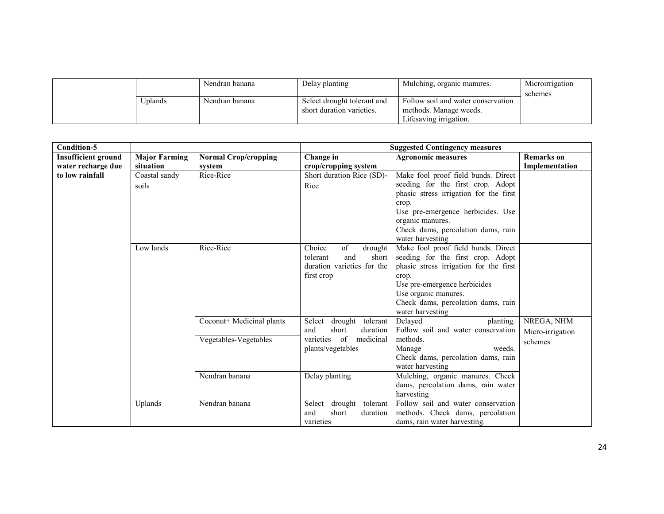|         | Nendran banana | Delay planting                                           | Mulching, organic manures.                                                             | Microirrigation<br>schemes |
|---------|----------------|----------------------------------------------------------|----------------------------------------------------------------------------------------|----------------------------|
| Jplands | Nendran banana | Select drought tolerant and<br>short duration varieties. | Follow soil and water conservation<br>methods. Manage weeds.<br>Lifesaving irrigation. |                            |

| <b>Condition-5</b>         |                      |                             | <b>Suggested Contingency measures</b>                  |                                                            |                   |  |
|----------------------------|----------------------|-----------------------------|--------------------------------------------------------|------------------------------------------------------------|-------------------|--|
| <b>Insufficient ground</b> | <b>Major Farming</b> | <b>Normal Crop/cropping</b> | Change in                                              | <b>Agronomic measures</b>                                  | <b>Remarks</b> on |  |
| water recharge due         | situation            | system                      | crop/cropping system                                   |                                                            | Implementation    |  |
| to low rainfall            | Coastal sandy        | Rice-Rice                   | Short duration Rice (SD)-                              | Make fool proof field bunds. Direct                        |                   |  |
|                            | soils                |                             | Rice                                                   | seeding for the first crop. Adopt                          |                   |  |
|                            |                      |                             |                                                        | phasic stress irrigation for the first                     |                   |  |
|                            |                      |                             |                                                        | crop.                                                      |                   |  |
|                            |                      |                             |                                                        | Use pre-emergence herbicides. Use                          |                   |  |
|                            |                      |                             |                                                        | organic manures.                                           |                   |  |
|                            |                      |                             |                                                        | Check dams, percolation dams, rain                         |                   |  |
|                            |                      |                             |                                                        | water harvesting                                           |                   |  |
|                            | Low lands            | Rice-Rice                   | Choice<br>of<br>drought                                | Make fool proof field bunds. Direct                        |                   |  |
|                            |                      |                             | short<br>tolerant<br>and                               | seeding for the first crop. Adopt                          |                   |  |
|                            |                      |                             | duration varieties for the                             | phasic stress irrigation for the first                     |                   |  |
|                            |                      |                             | first crop                                             | crop.                                                      |                   |  |
|                            |                      |                             |                                                        | Use pre-emergence herbicides                               |                   |  |
|                            |                      |                             |                                                        | Use organic manures.                                       |                   |  |
|                            |                      |                             |                                                        | Check dams, percolation dams, rain                         |                   |  |
|                            |                      |                             |                                                        | water harvesting                                           |                   |  |
|                            |                      | Coconut+ Medicinal plants   | Select<br>drought tolerant<br>short<br>and<br>duration | Delayed<br>planting.<br>Follow soil and water conservation | NREGA, NHM        |  |
|                            |                      | Vegetables-Vegetables       | varieties of<br>medicinal                              | methods.                                                   | Micro-irrigation  |  |
|                            |                      |                             | plants/vegetables                                      | Manage<br>weeds.                                           | schemes           |  |
|                            |                      |                             |                                                        | Check dams, percolation dams, rain                         |                   |  |
|                            |                      |                             |                                                        | water harvesting                                           |                   |  |
|                            |                      | Nendran banana              | Delay planting                                         | Mulching, organic manures. Check                           |                   |  |
|                            |                      |                             |                                                        | dams, percolation dams, rain water                         |                   |  |
|                            |                      |                             |                                                        | harvesting                                                 |                   |  |
|                            | Uplands              | Nendran banana              | Select<br>drought tolerant                             | Follow soil and water conservation                         |                   |  |
|                            |                      |                             | short<br>and<br>duration                               | methods. Check dams, percolation                           |                   |  |
|                            |                      |                             | varieties                                              | dams, rain water harvesting.                               |                   |  |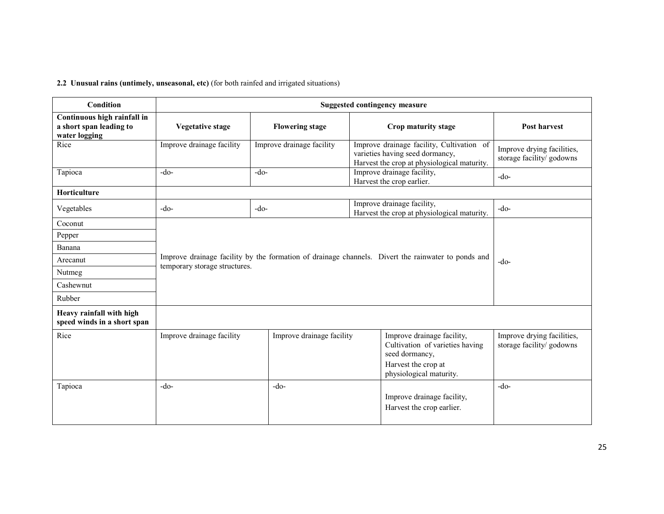### 2.2 Unusual rains (untimely, unseasonal, etc) (for both rainfed and irrigated situations)

| Condition                                                               | <b>Suggested contingency measure</b> |                           |                                                                                                                                                                                        |                                                         |  |
|-------------------------------------------------------------------------|--------------------------------------|---------------------------|----------------------------------------------------------------------------------------------------------------------------------------------------------------------------------------|---------------------------------------------------------|--|
| Continuous high rainfall in<br>a short span leading to<br>water logging | <b>Vegetative stage</b>              | <b>Flowering stage</b>    | Crop maturity stage                                                                                                                                                                    | Post harvest                                            |  |
| Rice                                                                    | Improve drainage facility            | Improve drainage facility | Improve drainage facility, Cultivation of<br>Improve drying facilities,<br>varieties having seed dormancy,<br>storage facility/ godowns<br>Harvest the crop at physiological maturity. |                                                         |  |
| Tapioca                                                                 | $-do-$                               | $-do-$                    | Improve drainage facility,<br>Harvest the crop earlier.                                                                                                                                | $-do-$                                                  |  |
| <b>Horticulture</b>                                                     |                                      |                           |                                                                                                                                                                                        |                                                         |  |
| Vegetables                                                              | $-do-$                               | $-do-$                    | Improve drainage facility,<br>Harvest the crop at physiological maturity.                                                                                                              | $-do-$                                                  |  |
| Coconut                                                                 |                                      |                           |                                                                                                                                                                                        |                                                         |  |
| Pepper                                                                  |                                      |                           |                                                                                                                                                                                        |                                                         |  |
| Banana                                                                  |                                      |                           |                                                                                                                                                                                        |                                                         |  |
| Arecanut                                                                | temporary storage structures.        |                           | Improve drainage facility by the formation of drainage channels. Divert the rainwater to ponds and                                                                                     | $-do-$                                                  |  |
| Nutmeg                                                                  |                                      |                           |                                                                                                                                                                                        |                                                         |  |
| Cashewnut                                                               |                                      |                           |                                                                                                                                                                                        |                                                         |  |
| Rubber                                                                  |                                      |                           |                                                                                                                                                                                        |                                                         |  |
| Heavy rainfall with high<br>speed winds in a short span                 |                                      |                           |                                                                                                                                                                                        |                                                         |  |
| Rice                                                                    | Improve drainage facility            | Improve drainage facility | Improve drainage facility,<br>Cultivation of varieties having<br>seed dormancy,<br>Harvest the crop at<br>physiological maturity.                                                      | Improve drying facilities,<br>storage facility/ godowns |  |
| Tapioca                                                                 | $-do-$                               | $-do-$                    | Improve drainage facility,<br>Harvest the crop earlier.                                                                                                                                | $-do-$                                                  |  |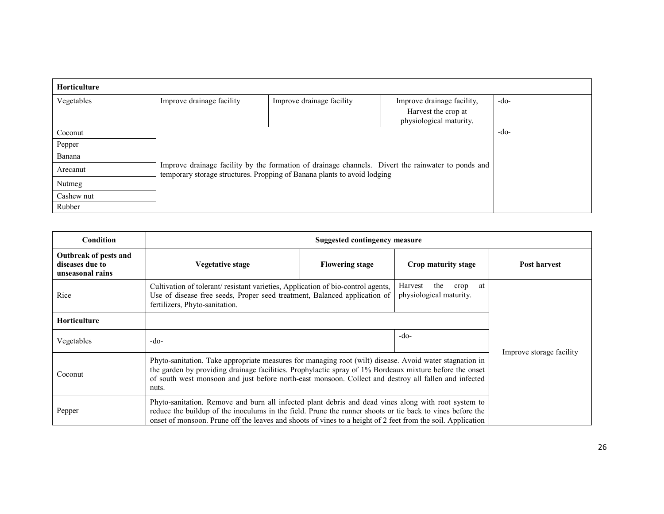| <b>Horticulture</b> |                           |                                                                                                                                                                                |                                                                              |        |  |  |
|---------------------|---------------------------|--------------------------------------------------------------------------------------------------------------------------------------------------------------------------------|------------------------------------------------------------------------------|--------|--|--|
| Vegetables          | Improve drainage facility | Improve drainage facility                                                                                                                                                      | Improve drainage facility,<br>Harvest the crop at<br>physiological maturity. | $-do-$ |  |  |
| Coconut             |                           |                                                                                                                                                                                |                                                                              | -do-   |  |  |
| Pepper              |                           | Improve drainage facility by the formation of drainage channels. Divert the rainwater to ponds and<br>temporary storage structures. Propping of Banana plants to avoid lodging |                                                                              |        |  |  |
| Banana              |                           |                                                                                                                                                                                |                                                                              |        |  |  |
| Arecanut            |                           |                                                                                                                                                                                |                                                                              |        |  |  |
| Nutmeg              |                           |                                                                                                                                                                                |                                                                              |        |  |  |
| Cashew nut          |                           |                                                                                                                                                                                |                                                                              |        |  |  |
| Rubber              |                           |                                                                                                                                                                                |                                                                              |        |  |  |

| Condition                                                    | <b>Suggested contingency measure</b>                                                                                                                                                                                                                                                                                                 |                        |                     |                          |  |  |
|--------------------------------------------------------------|--------------------------------------------------------------------------------------------------------------------------------------------------------------------------------------------------------------------------------------------------------------------------------------------------------------------------------------|------------------------|---------------------|--------------------------|--|--|
| Outbreak of pests and<br>diseases due to<br>unseasonal rains | Vegetative stage                                                                                                                                                                                                                                                                                                                     | <b>Flowering stage</b> | Crop maturity stage | Post harvest             |  |  |
| Rice                                                         | the<br>Harvest<br>at<br>crop<br>Cultivation of tolerant/resistant varieties, Application of bio-control agents,<br>physiological maturity.<br>Use of disease free seeds, Proper seed treatment, Balanced application of<br>fertilizers, Phyto-sanitation.                                                                            |                        |                     |                          |  |  |
| <b>Horticulture</b>                                          |                                                                                                                                                                                                                                                                                                                                      |                        |                     |                          |  |  |
| Vegetables                                                   | $-do-$                                                                                                                                                                                                                                                                                                                               |                        | $-do-$              | Improve storage facility |  |  |
| Coconut                                                      | Phyto-sanitation. Take appropriate measures for managing root (wilt) disease. Avoid water stagnation in<br>the garden by providing drainage facilities. Prophylactic spray of 1% Bordeaux mixture before the onset<br>of south west monsoon and just before north-east monsoon. Collect and destroy all fallen and infected<br>nuts. |                        |                     |                          |  |  |
| Pepper                                                       | Phyto-sanitation. Remove and burn all infected plant debris and dead vines along with root system to<br>reduce the buildup of the inoculums in the field. Prune the runner shoots or tie back to vines before the<br>onset of monsoon. Prune off the leaves and shoots of vines to a height of 2 feet from the soil. Application     |                        |                     |                          |  |  |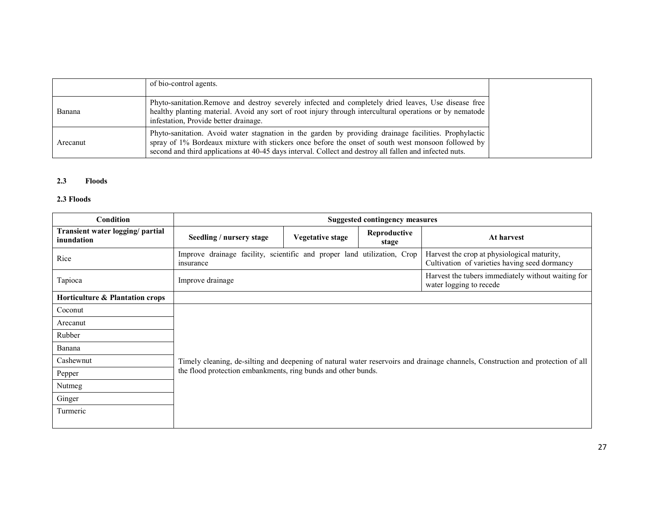|          | of bio-control agents.                                                                                                                                                                                                                                                                                                 |
|----------|------------------------------------------------------------------------------------------------------------------------------------------------------------------------------------------------------------------------------------------------------------------------------------------------------------------------|
| Banana   | Phyto-sanitation. Remove and destroy severely infected and completely dried leaves, Use disease free<br>healthy planting material. Avoid any sort of root injury through intercultural operations or by nematode<br>infestation, Provide better drainage.                                                              |
| Arecanut | Phyto-sanitation. Avoid water stagnation in the garden by providing drainage facilities. Prophylactic<br>spray of 1% Bordeaux mixture with stickers once before the onset of south west monsoon followed by<br>second and third applications at 40-45 days interval. Collect and destroy all fallen and infected nuts. |

### 2.3 Floods

# 2.3 Floods

| <b>Condition</b>                               |                                                                                      |                         | <b>Suggested contingency measures</b> |                                                                                                                                 |  |  |
|------------------------------------------------|--------------------------------------------------------------------------------------|-------------------------|---------------------------------------|---------------------------------------------------------------------------------------------------------------------------------|--|--|
| Transient water logging/ partial<br>inundation | Seedling / nursery stage                                                             | <b>Vegetative stage</b> | Reproductive<br>stage                 | At harvest                                                                                                                      |  |  |
| Rice                                           | Improve drainage facility, scientific and proper land utilization, Crop<br>insurance |                         |                                       | Harvest the crop at physiological maturity,<br>Cultivation of varieties having seed dormancy                                    |  |  |
| Tapioca                                        | Improve drainage                                                                     |                         |                                       | Harvest the tubers immediately without waiting for<br>water logging to recede                                                   |  |  |
| Horticulture & Plantation crops                |                                                                                      |                         |                                       |                                                                                                                                 |  |  |
| Coconut                                        |                                                                                      |                         |                                       |                                                                                                                                 |  |  |
| Arecanut                                       |                                                                                      |                         |                                       |                                                                                                                                 |  |  |
| Rubber                                         |                                                                                      |                         |                                       |                                                                                                                                 |  |  |
| Banana                                         |                                                                                      |                         |                                       |                                                                                                                                 |  |  |
| Cashewnut                                      |                                                                                      |                         |                                       | Timely cleaning, de-silting and deepening of natural water reservoirs and drainage channels, Construction and protection of all |  |  |
| Pepper                                         | the flood protection embankments, ring bunds and other bunds.                        |                         |                                       |                                                                                                                                 |  |  |
| Nutmeg                                         |                                                                                      |                         |                                       |                                                                                                                                 |  |  |
| Ginger                                         |                                                                                      |                         |                                       |                                                                                                                                 |  |  |
| Turmeric                                       |                                                                                      |                         |                                       |                                                                                                                                 |  |  |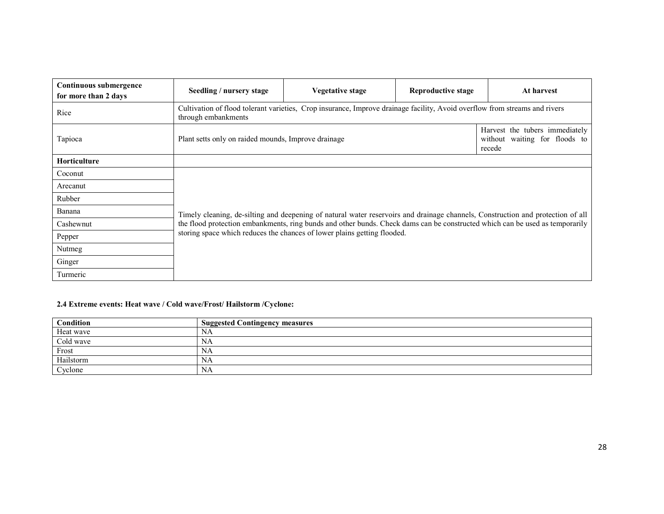| Continuous submergence<br>for more than 2 days | Seedling / nursery stage                                                                                                         | Vegetative stage                                                                                                                | Reproductive stage | At harvest |  |  |  |
|------------------------------------------------|----------------------------------------------------------------------------------------------------------------------------------|---------------------------------------------------------------------------------------------------------------------------------|--------------------|------------|--|--|--|
| Rice                                           | through embankments                                                                                                              | Cultivation of flood tolerant varieties, Crop insurance, Improve drainage facility, Avoid overflow from streams and rivers      |                    |            |  |  |  |
| Tapioca                                        | Harvest the tubers immediately<br>without waiting for floods to<br>Plant setts only on raided mounds, Improve drainage<br>recede |                                                                                                                                 |                    |            |  |  |  |
| <b>Horticulture</b>                            |                                                                                                                                  |                                                                                                                                 |                    |            |  |  |  |
| Coconut                                        |                                                                                                                                  |                                                                                                                                 |                    |            |  |  |  |
| Arecanut                                       |                                                                                                                                  |                                                                                                                                 |                    |            |  |  |  |
| Rubber                                         |                                                                                                                                  |                                                                                                                                 |                    |            |  |  |  |
| Banana                                         |                                                                                                                                  | Timely cleaning, de-silting and deepening of natural water reservoirs and drainage channels, Construction and protection of all |                    |            |  |  |  |
| Cashewnut                                      |                                                                                                                                  | the flood protection embankments, ring bunds and other bunds. Check dams can be constructed which can be used as temporarily    |                    |            |  |  |  |
| Pepper                                         |                                                                                                                                  | storing space which reduces the chances of lower plains getting flooded.                                                        |                    |            |  |  |  |
| Nutmeg                                         |                                                                                                                                  |                                                                                                                                 |                    |            |  |  |  |
| Ginger                                         |                                                                                                                                  |                                                                                                                                 |                    |            |  |  |  |
| Turmeric                                       |                                                                                                                                  |                                                                                                                                 |                    |            |  |  |  |

# 2.4 Extreme events: Heat wave / Cold wave/Frost/ Hailstorm /Cyclone:

| Condition | <b>Suggested Contingency measures</b> |
|-----------|---------------------------------------|
| Heat wave | NA                                    |
| Cold wave | NA                                    |
| Frost     | NA                                    |
| Hailstorm | NA                                    |
| Cyclone   | NA                                    |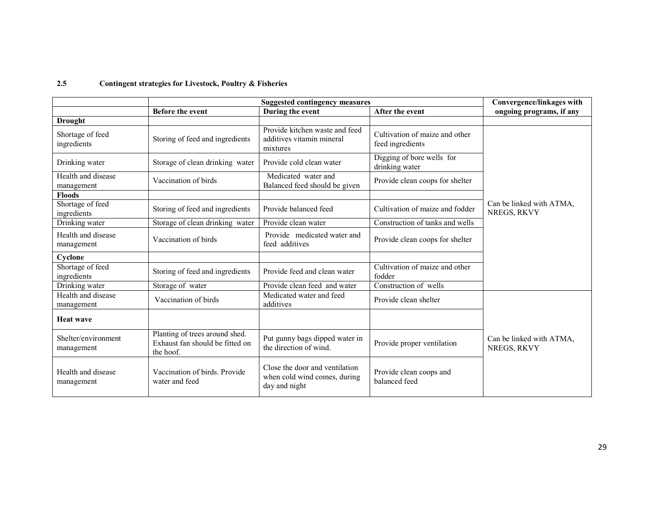#### 2.5Contingent strategies for Livestock, Poultry & Fisheries

|                                   |                                                                                | Convergence/linkages with                                                       |                                                    |                                         |
|-----------------------------------|--------------------------------------------------------------------------------|---------------------------------------------------------------------------------|----------------------------------------------------|-----------------------------------------|
|                                   | <b>Before the event</b>                                                        | During the event                                                                | After the event                                    | ongoing programs, if any                |
| <b>Drought</b>                    |                                                                                |                                                                                 |                                                    |                                         |
| Shortage of feed<br>ingredients   | Storing of feed and ingredients                                                | Provide kitchen waste and feed<br>additives vitamin mineral<br>mixtures         | Cultivation of maize and other<br>feed ingredients |                                         |
| Drinking water                    | Storage of clean drinking water                                                | Provide cold clean water                                                        | Digging of bore wells for<br>drinking water        |                                         |
| Health and disease<br>management  | Vaccination of birds                                                           | Medicated water and<br>Balanced feed should be given                            | Provide clean coops for shelter                    |                                         |
| <b>Floods</b>                     |                                                                                |                                                                                 |                                                    |                                         |
| Shortage of feed<br>ingredients   | Storing of feed and ingredients                                                | Provide balanced feed                                                           | Cultivation of maize and fodder                    | Can be linked with ATMA,<br>NREGS, RKVY |
| Drinking water                    | Storage of clean drinking water                                                | Provide clean water                                                             | Construction of tanks and wells                    |                                         |
| Health and disease<br>management  | Vaccination of birds                                                           | Provide medicated water and<br>feed additives                                   | Provide clean coops for shelter                    |                                         |
| Cyclone                           |                                                                                |                                                                                 |                                                    |                                         |
| Shortage of feed<br>ingredients   | Storing of feed and ingredients                                                | Provide feed and clean water                                                    | Cultivation of maize and other<br>fodder           |                                         |
| Drinking water                    | Storage of water                                                               | Provide clean feed and water                                                    | Construction of wells                              |                                         |
| Health and disease<br>management  | Vaccination of birds                                                           | Medicated water and feed<br>additives                                           | Provide clean shelter                              |                                         |
| <b>Heat wave</b>                  |                                                                                |                                                                                 |                                                    |                                         |
| Shelter/environment<br>management | Planting of trees around shed.<br>Exhaust fan should be fitted on<br>the hoof. | Put gunny bags dipped water in<br>the direction of wind.                        | Provide proper ventilation                         | Can be linked with ATMA,<br>NREGS, RKVY |
| Health and disease<br>management  | Vaccination of birds. Provide<br>water and feed                                | Close the door and ventilation<br>when cold wind comes, during<br>day and night | Provide clean coops and<br>balanced feed           |                                         |